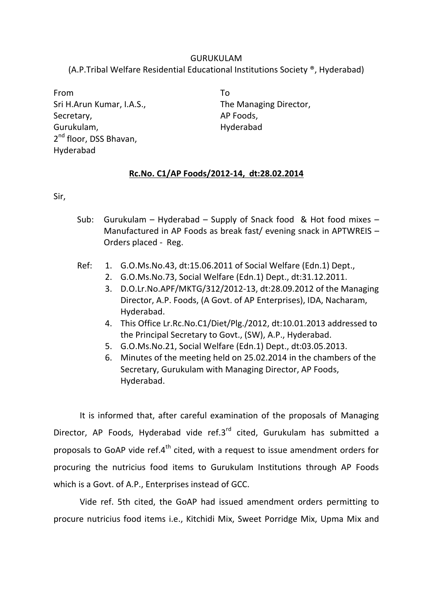## GURUKULAM (A.P.Tribal Welfare Residential Educational Institutions Society ®, Hyderabad)

From Sri H.Arun Kumar, I.A.S., Secretary, Gurukulam, 2<sup>nd</sup> floor, DSS Bhavan, Hyderabad

To The Managing Director, AP Foods, Hyderabad

## **Rc.No. C1/AP Foods/2012-14, dt:28.02.2014**

Sir,

- Sub: Gurukulam Hyderabad Supply of Snack food & Hot food mixes Manufactured in AP Foods as break fast/ evening snack in APTWREIS – Orders placed - Reg.
- Ref: 1. G.O.Ms.No.43, dt:15.06.2011 of Social Welfare (Edn.1) Dept.,
	- 2. G.O.Ms.No.73, Social Welfare (Edn.1) Dept., dt:31.12.2011.
	- 3. D.O.Lr.No.APF/MKTG/312/2012-13, dt:28.09.2012 of the Managing Director, A.P. Foods, (A Govt. of AP Enterprises), IDA, Nacharam, Hyderabad.
	- 4. This Office Lr.Rc.No.C1/Diet/Plg./2012, dt:10.01.2013 addressed to the Principal Secretary to Govt., (SW), A.P., Hyderabad.
	- 5. G.O.Ms.No.21, Social Welfare (Edn.1) Dept., dt:03.05.2013.
	- 6. Minutes of the meeting held on 25.02.2014 in the chambers of the Secretary, Gurukulam with Managing Director, AP Foods, Hyderabad.

It is informed that, after careful examination of the proposals of Managing Director, AP Foods, Hyderabad vide ref.3<sup>rd</sup> cited, Gurukulam has submitted a proposals to GoAP vide ref. $4<sup>th</sup>$  cited, with a request to issue amendment orders for procuring the nutricius food items to Gurukulam Institutions through AP Foods which is a Govt. of A.P., Enterprises instead of GCC.

Vide ref. 5th cited, the GoAP had issued amendment orders permitting to procure nutricius food items i.e., Kitchidi Mix, Sweet Porridge Mix, Upma Mix and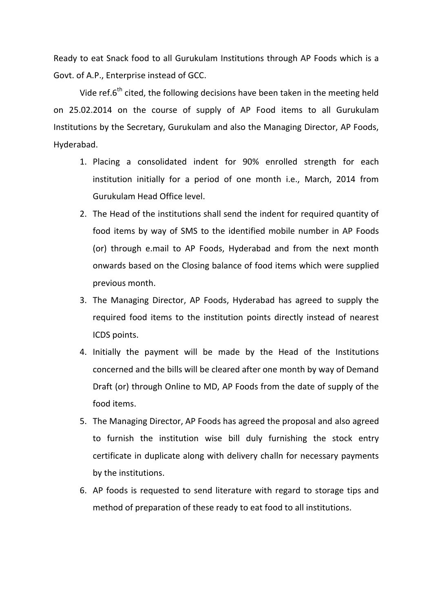Ready to eat Snack food to all Gurukulam Institutions through AP Foods which is a Govt. of A.P., Enterprise instead of GCC.

Vide ref.6<sup>th</sup> cited, the following decisions have been taken in the meeting held on 25.02.2014 on the course of supply of AP Food items to all Gurukulam Institutions by the Secretary, Gurukulam and also the Managing Director, AP Foods, Hyderabad.

- 1. Placing a consolidated indent for 90% enrolled strength for each institution initially for a period of one month i.e., March, 2014 from Gurukulam Head Office level.
- 2. The Head of the institutions shall send the indent for required quantity of food items by way of SMS to the identified mobile number in AP Foods (or) through e.mail to AP Foods, Hyderabad and from the next month onwards based on the Closing balance of food items which were supplied previous month.
- 3. The Managing Director, AP Foods, Hyderabad has agreed to supply the required food items to the institution points directly instead of nearest ICDS points.
- 4. Initially the payment will be made by the Head of the Institutions concerned and the bills will be cleared after one month by way of Demand Draft (or) through Online to MD, AP Foods from the date of supply of the food items.
- 5. The Managing Director, AP Foods has agreed the proposal and also agreed to furnish the institution wise bill duly furnishing the stock entry certificate in duplicate along with delivery challn for necessary payments by the institutions.
- 6. AP foods is requested to send literature with regard to storage tips and method of preparation of these ready to eat food to all institutions.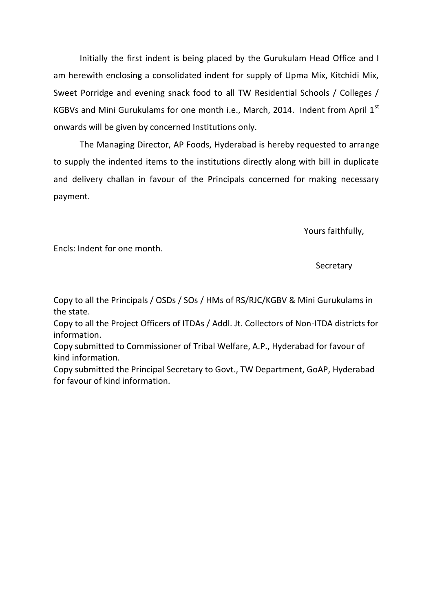Initially the first indent is being placed by the Gurukulam Head Office and I am herewith enclosing a consolidated indent for supply of Upma Mix, Kitchidi Mix, Sweet Porridge and evening snack food to all TW Residential Schools / Colleges / KGBVs and Mini Gurukulams for one month i.e., March, 2014. Indent from April  $1^{st}$ onwards will be given by concerned Institutions only.

The Managing Director, AP Foods, Hyderabad is hereby requested to arrange to supply the indented items to the institutions directly along with bill in duplicate and delivery challan in favour of the Principals concerned for making necessary payment.

Yours faithfully,

Encls: Indent for one month.

## **Secretary**

Copy to all the Principals / OSDs / SOs / HMs of RS/RJC/KGBV & Mini Gurukulams in the state.

Copy to all the Project Officers of ITDAs / Addl. Jt. Collectors of Non-ITDA districts for information.

Copy submitted to Commissioner of Tribal Welfare, A.P., Hyderabad for favour of kind information.

Copy submitted the Principal Secretary to Govt., TW Department, GoAP, Hyderabad for favour of kind information.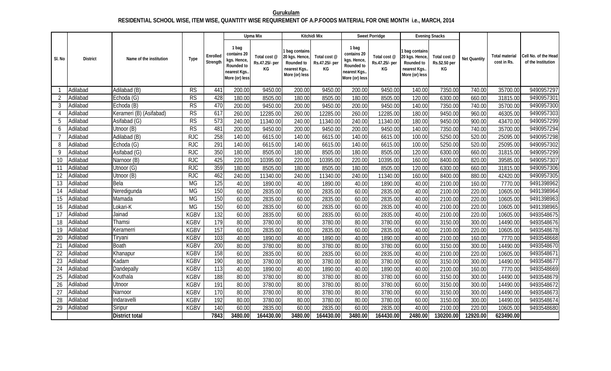## **Gurukulam RESIDENTIAL SCHOOL WISE, ITEM WISE, QUANTITY WISE REQUIREMENT OF A.P.FOODS MATERIAL FOR ONE MONTH i.e., MARCH, 2014**

|                |                 |                         |             |                      |                                                                                     | Upma Mix                             |                                                                                  | Kitchidi Mix                         |                                                                                     | Sweet Porridge                       |                                                                               | <b>Evening Snacks</b>              |              |                                      |                                            |
|----------------|-----------------|-------------------------|-------------|----------------------|-------------------------------------------------------------------------------------|--------------------------------------|----------------------------------------------------------------------------------|--------------------------------------|-------------------------------------------------------------------------------------|--------------------------------------|-------------------------------------------------------------------------------|------------------------------------|--------------|--------------------------------------|--------------------------------------------|
| SI. No         | <b>District</b> | Name of the institution | Type        | Enrolled<br>Strength | 1 bag<br>contains 20<br>kgs. Hence,<br>Rounded to<br>nearest Kgs.<br>More (or) less | Total cost @<br>Rs.47.25/- per<br>КG | 1 bag contains<br>20 kgs. Hence,<br>Rounded to<br>nearest Kgs.<br>More (or) less | Total cost @<br>Rs.47.25/- per<br>ΚG | 1 bag<br>contains 20<br>kgs. Hence,<br>Rounded to<br>nearest Kgs.<br>More (or) less | Total cost @<br>Rs.47.25/- per<br>KG | bag contains<br>20 kgs. Hence<br>Rounded to<br>nearest Kgs.<br>More (or) less | Total cost @<br>Rs.52.50 per<br>KG | Net Quantity | <b>Total material</b><br>cost in Rs. | Cell No. of the Head<br>of the Institution |
|                | Adilabad        | Adilabad (B)            | <b>RS</b>   | 441                  | 200.00                                                                              | 9450.00                              | 200.00                                                                           | 9450.00                              | 200.00                                                                              | 9450.00                              | 140.00                                                                        | 7350.00                            | 740.00       | 35700.00                             | 9490957297                                 |
| $\overline{2}$ | Adilabad        | Echoda (G)              | <b>RS</b>   | 428                  | 180.00                                                                              | 8505.00                              | 180.00                                                                           | 8505.00                              | 180.00                                                                              | 8505.00                              | 120.00                                                                        | 6300.00                            | 660.00       | 31815.00                             | 9490957301                                 |
| 3              | Adilabad        | Echoda (B)              | RS          | 470                  | 200.00                                                                              | 9450.00                              | 200.00                                                                           | 9450.00                              | 200.00                                                                              | 9450.00                              | 140.00                                                                        | 7350.00                            | 740.00       | 35700.00                             | 9490957300                                 |
| $\overline{4}$ | Adilabad        | Kerameri (B) (Asifabad) | RS          | 617                  | 260.00                                                                              | 12285.00                             | 260.00                                                                           | 12285.00                             | 260.00                                                                              | 12285.00                             | 180.00                                                                        | 9450.00                            | 960.00       | 46305.00                             | 9490957303                                 |
| 5              | Adilabad        | Asifabad (G)            | RS          | $\overline{573}$     | 240.00                                                                              | 11340.00                             | 240.00                                                                           | 11340.00                             | 240.00                                                                              | 11340.00                             | 180.00                                                                        | 9450.00                            | 900.00       | 43470.00                             | 9490957299                                 |
| 6              | Adilabad        | Utnoor (B)              | RS          | 481                  | 200.00                                                                              | 9450.00                              | 200.00                                                                           | 9450.00                              | 200.00                                                                              | 9450.00                              | 140.00                                                                        | 7350.00                            | 740.00       | 35700.00                             | 9490957294                                 |
|                | Adilabad        | Adilabad (B)            | <b>RJC</b>  | 258                  | 140.00                                                                              | 6615.00                              | 140.00                                                                           | 6615.00                              | 140.00                                                                              | 6615.00                              | 100.00                                                                        | 5250.00                            | 520.00       | 25095.00                             | 9490957298                                 |
| 8              | Adilabad        | Echoda (G)              | <b>RJC</b>  | 291                  | 140.00                                                                              | 6615.00                              | 140.00                                                                           | 6615.00                              | 140.00                                                                              | 6615.00                              | 100.00                                                                        | 5250.00                            | 520.00       | 25095.00                             | 9490957302                                 |
| 9              | Adilabad        | Asifabad (G)            | <b>RJC</b>  | 350                  | 180.00                                                                              | 8505.00                              | 180.00                                                                           | 8505.00                              | 180.00                                                                              | 8505.00                              | 120.00                                                                        | 6300.00                            | 660.00       | 31815.00                             | 9490957299                                 |
| 10             | Adilabad        | Narnoor (B)             | <b>RJC</b>  | 425                  | 220.00                                                                              | 10395.00                             | 220.00                                                                           | 10395.00                             | 220.00                                                                              | 10395.00                             | 160.00                                                                        | 8400.00                            | 820.00       | 39585.00                             | 9490957307                                 |
| 11             | Adilabad        | Utnoor (G)              | <b>RJC</b>  | 359                  | 180.00                                                                              | 8505.00                              | 180.00                                                                           | 8505.00                              | 180.00                                                                              | 8505.00                              | 120.00                                                                        | 6300.00                            | 660.00       | 31815.00                             | 9490957306                                 |
| 12             | Adilabad        | Utnoor (B)              | <b>RJC</b>  | 462                  | 240.00                                                                              | 11340.00                             | 240.00                                                                           | 11340.00                             | 240.00                                                                              | 11340.00                             | 160.00                                                                        | 8400.00                            | 880.00       | 42420.00                             | 9490957305                                 |
| 13             | Adilabad        | Bela                    | <b>MG</b>   | 125                  | 40.00                                                                               | 1890.00                              | 40.00                                                                            | 1890.00                              | 40.00                                                                               | 1890.00                              | 40.00                                                                         | 2100.00                            | 160.00       | 7770.00                              | 9491398962                                 |
| 14             | Adilabad        | Neredigunda             | <b>MG</b>   | 150                  | 60.00                                                                               | 2835.00                              | 60.00                                                                            | 2835.00                              | 60.00                                                                               | 2835.00                              | 40.00                                                                         | 2100.00                            | 220.00       | 10605.00                             | 9491398964                                 |
| 15             | Adilabad        | Mamada                  | <b>MG</b>   | 150                  | 60.00                                                                               | 2835.00                              | 60.00                                                                            | 2835.00                              | 60.00                                                                               | 2835.00                              | 40.00                                                                         | 2100.00                            | 220.00       | 10605.00                             | 9491398963                                 |
| 16             | Adilabad        | Lokari-K                | <b>MG</b>   | 150                  | 60.00                                                                               | 2835.00                              | 60.00                                                                            | 2835.00                              | 60.00                                                                               | 2835.00                              | 40.00                                                                         | 2100.00                            | 220.00       | 10605.00                             | 9491398965                                 |
| 17             | Adilabad        | Jainad                  | <b>KGBV</b> | 132                  | 60.00                                                                               | 2835.00                              | 60.00                                                                            | 2835.00                              | 60.00                                                                               | 2835.00                              | 40.00                                                                         | 2100.00                            | 220.00       | 10605.00                             | 9493548675                                 |
| 18             | Adilabad        | Thamsi                  | <b>KGBV</b> | $\overline{179}$     | 80.00                                                                               | 3780.00                              | 80.00                                                                            | 3780.00                              | 80.00                                                                               | 3780.00                              | 60.00                                                                         | 3150.00                            | 300.00       | 14490.00                             | 9493548676                                 |
| 19             | Adilabad        | Keramerri               | <b>KGBV</b> | 157                  | 60.00                                                                               | 2835.00                              | 60.00                                                                            | 2835.00                              | 60.00                                                                               | 2835.00                              | 40.00                                                                         | 2100.00                            | 220.00       | 10605.00                             | 9493548678                                 |
| 20             | Adilabad        | Tiryani                 | <b>KGBV</b> | 103                  | 40.00                                                                               | 1890.00                              | 40.00                                                                            | 1890.00                              | 40.00                                                                               | 1890.00                              | 40.00                                                                         | 2100.00                            | 160.00       | 7770.00                              | 9493548668                                 |
| 21             | Adilabad        | <b>Boath</b>            | <b>KGBV</b> | 200                  | 80.00                                                                               | 3780.00                              | 80.00                                                                            | 3780.00                              | 80.00                                                                               | 3780.00                              | 60.00                                                                         | 3150.00                            | 300.00       | 14490.00                             | 9493548670                                 |
| 22             | Adilabad        | Khanapur                | <b>KGBV</b> | 158                  | 60.00                                                                               | 2835.00                              | 60.00                                                                            | 2835.00                              | 60.00                                                                               | 2835.00                              | 40.00                                                                         | 2100.00                            | 220.00       | 10605.00                             | 9493548671                                 |
| 23             | Adilabad        | Kadam                   | <b>KGBV</b> | 190                  | 80.00                                                                               | 3780.00                              | 80.00                                                                            | 3780.00                              | 80.00                                                                               | 3780.00                              | 60.00                                                                         | 3150.00                            | 300.00       | 14490.00                             | 9493548677                                 |
| 24             | Adilabad        | <b>Dandepally</b>       | <b>KGBV</b> | $\overline{113}$     | 40.00                                                                               | 1890.00                              | 40.00                                                                            | 1890.00                              | 40.00                                                                               | 1890.00                              | 40.00                                                                         | 2100.00                            | 160.00       | 7770.00                              | 9493548669                                 |
| 25             | Adilabad        | Kouthala                | <b>KGBV</b> | 188                  | 80.00                                                                               | 3780.00                              | 80.00                                                                            | 3780.00                              | 80.00                                                                               | 3780.00                              | 60.00                                                                         | 3150.00                            | 300.00       | 14490.00                             | 9493548679                                 |
| 26             | Adilabad        | Utnoor                  | <b>KGBV</b> | 191                  | 80.00                                                                               | 3780.00                              | 80.00                                                                            | 3780.00                              | 80.00                                                                               | 3780.00                              | 60.00                                                                         | 3150.00                            | 300.00       | 14490.00                             | 9493548672                                 |
| 27             | Adilabad        | Narnoor                 | <b>KGBV</b> | 170                  | 80.00                                                                               | 3780.00                              | 80.00                                                                            | 3780.00                              | 80.00                                                                               | 3780.00                              | 60.00                                                                         | 3150.00                            | 300.00       | 14490.00                             | 9493548673                                 |
| 28             | Adilabad        | Indaravelli             | <b>KGBV</b> | 192                  | 80.00                                                                               | 3780.00                              | 80.00                                                                            | 3780.00                              | 80.00                                                                               | 3780.00                              | 60.00                                                                         | 3150.00                            | 300.00       | 14490.00                             | 9493548674                                 |
| 29             | Adilabad        | Siripur                 | <b>KGBV</b> | 140                  | 60.00                                                                               | 2835.00                              | 60.00                                                                            | 2835.00                              | 60.00                                                                               | 2835.00                              | 40.00                                                                         | 2100.00                            | 220.00       | 10605.00                             | 9493548680                                 |
|                |                 | <b>District total</b>   |             | 7843                 | 3480.00                                                                             | 164430.00                            | 3480.00                                                                          | 164430.00                            | 3480.00                                                                             | 164430.00                            | 2480.00                                                                       | 130200.00                          | 12920.00     | 623490.00                            |                                            |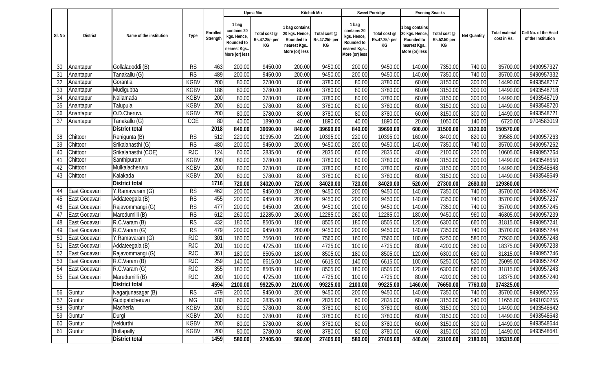|        |               |                         |                        |                      |                                                                                     | Upma Mix                             |                                                                                | Kitchidi Mix                         |                                                                                     | Sweet Porridge                       |                                                                               | <b>Evening Snacks</b>              |              |                                      |                                            |
|--------|---------------|-------------------------|------------------------|----------------------|-------------------------------------------------------------------------------------|--------------------------------------|--------------------------------------------------------------------------------|--------------------------------------|-------------------------------------------------------------------------------------|--------------------------------------|-------------------------------------------------------------------------------|------------------------------------|--------------|--------------------------------------|--------------------------------------------|
| SI. No | District      | Name of the institution | Type                   | Enrolled<br>Strength | 1 bag<br>contains 20<br>kgs. Hence,<br>Rounded to<br>nearest Kgs.<br>More (or) less | Total cost @<br>Rs.47.25/- per<br>КG | bag contains<br>20 kgs. Hence,<br>Rounded to<br>nearest Kgs.<br>More (or) less | Total cost @<br>Rs.47.25/- per<br>КG | 1 bag<br>contains 20<br>kgs. Hence,<br>Rounded to<br>nearest Kgs.<br>More (or) less | Total cost @<br>Rs.47.25/- per<br>КG | bag contains<br>20 kgs. Hence<br>Rounded to<br>nearest Kgs.<br>More (or) less | Total cost @<br>Rs.52.50 per<br>KG | Net Quantity | <b>Total material</b><br>cost in Rs. | Cell No. of the Head<br>of the Institution |
| 30     | Anantapur     | Gollaladoddi (B)        | <b>RS</b>              | 463                  | 200.00                                                                              | 9450.00                              | 200.00                                                                         | 9450.00                              | 200.00                                                                              | 9450.00                              | 140.00                                                                        | 7350.00                            | 740.00       | 35700.00                             | 9490957327                                 |
| 31     | Anantapur     | Tanakallu (G)           | $\overline{\text{RS}}$ | 489                  | 200.00                                                                              | 9450.00                              | 200.00                                                                         | 9450.00                              | 200.00                                                                              | 9450.00                              | 140.00                                                                        | 7350.00                            | 740.00       | 35700.00                             | 9490957332                                 |
| 32     | Anantapur     | Gorantla                | <b>KGBV</b>            | 200                  | 80.00                                                                               | 3780.00                              | 80.00                                                                          | 3780.00                              | 80.00                                                                               | 3780.00                              | 60.00                                                                         | 3150.00                            | 300.00       | 14490.00                             | 9493548717                                 |
| 33     | Anantapur     | Mudigubba               | <b>KGBV</b>            | 186                  | 80.00                                                                               | 3780.00                              | 80.00                                                                          | 3780.00                              | 80.00                                                                               | 3780.00                              | 60.00                                                                         | 3150.00                            | 300.00       | 14490.00                             | 9493548718                                 |
| 34     | Anantapur     | Nallamada               | <b>KGBV</b>            | 200                  | 80.00                                                                               | 3780.00                              | 80.00                                                                          | 3780.00                              | 80.00                                                                               | 3780.00                              | 60.00                                                                         | 3150.00                            | 300.00       | 14490.00                             | 9493548719                                 |
| 35     | Anantapur     | Talupula                | <b>KGBV</b>            | 200                  | 80.00                                                                               | 3780.00                              | 80.00                                                                          | 3780.00                              | 80.00                                                                               | 3780.00                              | 60.00                                                                         | 3150.00                            | 300.00       | 14490.00                             | 9493548720                                 |
| 36     | Anantapur     | O.D.Cheruvu             | <b>KGBV</b>            | 200                  | 80.00                                                                               | 3780.00                              | 80.00                                                                          | 3780.00                              | 80.00                                                                               | 3780.00                              | 60.00                                                                         | 3150.00                            | 300.00       | 14490.00                             | 9493548721                                 |
| 37     | Anantapur     | Tanakallu (G)           | COE                    | 80                   | 40.00                                                                               | 1890.00                              | 40.00                                                                          | 1890.00                              | 40.00                                                                               | 1890.00                              | 20.00                                                                         | 1050.00                            | 140.00       | 6720.00                              | 9704583019                                 |
|        |               | <b>District total</b>   |                        | 2018                 | 840.00                                                                              | 39690.00                             | 840.00                                                                         | 39690.00                             | 840.00                                                                              | 39690.00                             | 600.00                                                                        | 31500.00                           | 3120.00      | 150570.00                            |                                            |
| 38     | Chittoor      | Renigunta (B)           | RS                     | 512                  | 220.00                                                                              | 10395.00                             | 220.00                                                                         | 10395.00                             | 220.00                                                                              | 10395.00                             | 160.00                                                                        | 8400.00                            | 820.00       | 39585.00                             | 9490957263                                 |
| 39     | Chittoor      | Srikalahasthi (G)       | RS                     | 480                  | 200.00                                                                              | 9450.00                              | 200.00                                                                         | 9450.00                              | 200.00                                                                              | 9450.00                              | 140.00                                                                        | 7350.00                            | 740.00       | 35700.00                             | 9490957262                                 |
| 40     | Chittoor      | Srikalahasthi (COE)     | <b>RJC</b>             | 124                  | 60.00                                                                               | 2835.00                              | 60.00                                                                          | 2835.00                              | 60.00                                                                               | 2835.00                              | 40.00                                                                         | 2100.00                            | 220.00       | 10605.00                             | 9490957264                                 |
| 41     | Chittoor      | Santhipuram             | <b>KGBV</b>            | 200                  | 80.00                                                                               | 3780.00                              | 80.00                                                                          | 3780.00                              | 80.00                                                                               | 3780.00                              | 60.00                                                                         | 3150.00                            | 300.00       | 14490.00                             | 9493548650                                 |
| 42     | Chittoor      | Mulkalacheruvu          | <b>KGBV</b>            | 200                  | 80.00                                                                               | 3780.00                              | 80.00                                                                          | 3780.00                              | 80.00                                                                               | 3780.00                              | 60.00                                                                         | 3150.00                            | 300.00       | 14490.00                             | 9493548648                                 |
| 43     | Chittoor      | Kalakada                | <b>KGBV</b>            | 200                  | 80.00                                                                               | 3780.00                              | 80.00                                                                          | 3780.00                              | 80.00                                                                               | 3780.00                              | 60.00                                                                         | 3150.00                            | 300.00       | 14490.00                             | 9493548649                                 |
|        |               | <b>District total</b>   |                        | 1716                 | 720.00                                                                              | 34020.00                             | 720.00                                                                         | 34020.00                             | 720.00                                                                              | 34020.00                             | 520.00                                                                        | 27300.00                           | 2680.00      | 129360.00                            |                                            |
| 44     | East Godavari | Y.Ramavaram (G)         | <b>RS</b>              | 462                  | 200.00                                                                              | 9450.00                              | 200.00                                                                         | 9450.00                              | 200.00                                                                              | 9450.00                              | 140.00                                                                        | 7350.00                            | 740.00       | 35700.00                             | 9490957247                                 |
| 45     | East Godavari | Addateegala (B)         | $\overline{\text{RS}}$ | 455                  | 200.00                                                                              | 9450.00                              | 200.00                                                                         | 9450.00                              | 200.00                                                                              | 9450.00                              | 140.00                                                                        | 7350.00                            | 740.00       | 35700.00                             | 9490957237                                 |
| 46     | East Godavari | Rajavommangi (G)        | $\overline{\text{RS}}$ | 477                  | 200.00                                                                              | 9450.00                              | 200.00                                                                         | 9450.00                              | 200.00                                                                              | 9450.00                              | 140.00                                                                        | 7350.00                            | 740.00       | 35700.00                             | 9490957245                                 |
| 47     | East Godavari | Maredumilli (B)         | <b>RS</b>              | 612                  | 260.00                                                                              | 12285.00                             | 260.00                                                                         | 12285.00                             | 260.00                                                                              | 12285.00                             | 180.00                                                                        | 9450.00                            | 960.00       | 46305.00                             | 9490957239                                 |
| 48     | East Godavari | R.C.Varam (B)           | <b>RS</b>              | 432                  | 180.00                                                                              | 8505.00                              | 180.00                                                                         | 8505.00                              | 180.00                                                                              | 8505.00                              | 120.00                                                                        | 6300.00                            | 660.00       | 31815.00                             | 9490957241                                 |
| 49     | East Godavari | R.C.Varam (G)           | <b>RS</b>              | 479                  | 200.00                                                                              | 9450.00                              | 200.00                                                                         | 9450.00                              | 200.00                                                                              | 9450.00                              | 140.00                                                                        | 7350.00                            | 740.00       | 35700.00                             | 9490957244                                 |
| 50     | East Godavari | Y.Ramavaram (G)         | <b>RJC</b>             | 301                  | 160.00                                                                              | 7560.00                              | 160.00                                                                         | 7560.00                              | 160.00                                                                              | 7560.00                              | 100.00                                                                        | 5250.00                            | 580.00       | 27930.00                             | 9490957248                                 |
| 51     | East Godavari | Addateegala (B)         | <b>RJC</b>             | 201                  | 100.00                                                                              | 4725.00                              | 100.00                                                                         | 4725.00                              | 100.00                                                                              | 4725.00                              | 80.00                                                                         | 4200.00                            | 380.00       | 18375.00                             | 9490957238                                 |
| 52     | East Godavari | Rajavommangi (G)        | <b>RJC</b>             | 361                  | 180.00                                                                              | 8505.00                              | 180.00                                                                         | 8505.00                              | 180.00                                                                              | 8505.00                              | 120.00                                                                        | 6300.00                            | 660.00       | 31815.00                             | 9490957246                                 |
| 53     | East Godavari | R.C.Varam (B)           | <b>RJC</b>             | 259                  | 140.00                                                                              | 6615.00                              | 140.00                                                                         | 6615.00                              | 140.00                                                                              | 6615.00                              | 100.00                                                                        | 5250.00                            | 520.00       | 25095.00                             | 9490957242                                 |
| 54     | East Godavari | R.C.Varam (G)           | <b>RJC</b>             | 355                  | 180.00                                                                              | 8505.00                              | 180.00                                                                         | 8505.00                              | 180.00                                                                              | 8505.00                              | 120.00                                                                        | 6300.00                            | 660.00       | 31815.00                             | 9490957243                                 |
| 55     | East Godavari | Maredumilli (B)         | <b>RJC</b>             | 200                  | 100.00                                                                              | 4725.00                              | 100.00                                                                         | 4725.00                              | 100.00                                                                              | 4725.00                              | 80.00                                                                         | 4200.00                            | 380.00       | 18375.00                             | 9490957240                                 |
|        |               | <b>District total</b>   |                        | 4594                 | 2100.00                                                                             | 99225.00                             | 2100.00                                                                        | 99225.00                             | 2100.00                                                                             | 99225.00                             | 1460.00                                                                       | 76650.00                           | 7760.00      | 374325.00                            |                                            |
| 56     | Guntur        | Nagarjunasagar (B)      | <b>RS</b>              | 479                  | 200.00                                                                              | 9450.00                              | 200.00                                                                         | 9450.00                              | 200.00                                                                              | 9450.00                              | 140.00                                                                        | 7350.00                            | 740.00       | 35700.00                             | 9490957256                                 |
| 57     | Guntur        | Gudipaticheruvu         | <b>MG</b>              | 180                  | 60.00                                                                               | 2835.00                              | 60.00                                                                          | 2835.00                              | 60.00                                                                               | 2835.00                              | 60.00                                                                         | 3150.00                            | 240.00       | 11655.00                             | 9491030255                                 |
| 58     | Guntur        | Macherla                | <b>KGBV</b>            | 200                  | 80.00                                                                               | 3780.00                              | 80.00                                                                          | 3780.00                              | 80.00                                                                               | 3780.00                              | 60.00                                                                         | 3150.00                            | 300.00       | 14490.00                             | 9493548642                                 |
| 59     | Guntur        | Durgi                   | <b>KGBV</b>            | 200                  | 80.00                                                                               | 3780.00                              | 80.00                                                                          | 3780.00                              | 80.00                                                                               | 3780.00                              | 60.00                                                                         | 3150.00                            | 300.00       | 14490.00                             | 9493548643                                 |
| 60     | Guntur        | Veldurthi               | <b>KGBV</b>            | 200                  | 80.00                                                                               | 3780.00                              | 80.00                                                                          | 3780.00                              | 80.00                                                                               | 3780.00                              | 60.00                                                                         | 3150.00                            | 300.00       | 14490.00                             | 9493548644                                 |
| 61     | Guntur        | Bollapally              | <b>KGBV</b>            | 200                  | 80.00                                                                               | 3780.00                              | 80.00                                                                          | 3780.00                              | 80.00                                                                               | 3780.00                              | 60.00                                                                         | 3150.00                            | 300.00       | 14490.00                             | 9493548641                                 |
|        |               | <b>District total</b>   |                        | 1459                 | 580.00                                                                              | 27405.00                             | 580.00                                                                         | 27405.00                             | 580.00                                                                              | 27405.00                             | 440.00                                                                        | 23100.00                           | 2180.00      | 105315.00                            |                                            |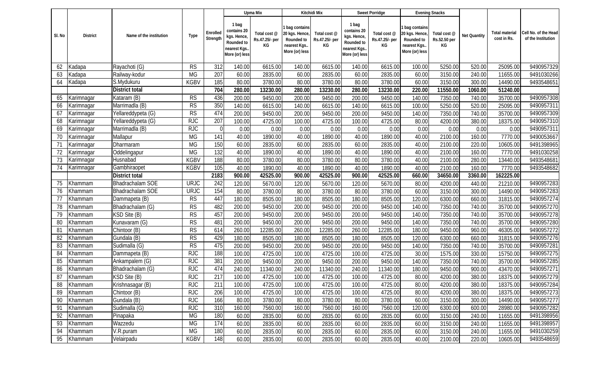|        |            |                         |                        |                      |                                                                                     | Upma Mix                             |                                                                                | Kitchidi Mix                         |                                                                                    | Sweet Porridge                       |                                                                               | <b>Evening Snacks</b>              |              |                                      |                                            |
|--------|------------|-------------------------|------------------------|----------------------|-------------------------------------------------------------------------------------|--------------------------------------|--------------------------------------------------------------------------------|--------------------------------------|------------------------------------------------------------------------------------|--------------------------------------|-------------------------------------------------------------------------------|------------------------------------|--------------|--------------------------------------|--------------------------------------------|
| SI. No | District   | Name of the institution | Type                   | Enrolled<br>Strength | 1 bag<br>contains 20<br>kgs. Hence,<br>Rounded to<br>nearest Kgs.<br>More (or) less | Total cost @<br>Rs.47.25/- per<br>КG | bag contains<br>20 kgs. Hence,<br>Rounded to<br>nearest Kgs.<br>More (or) less | Total cost @<br>Rs.47.25/- per<br>KG | 1 bag<br>contains 20<br>kgs. Hence<br>Rounded to<br>nearest Kgs.<br>More (or) less | Total cost @<br>Rs.47.25/- per<br>КG | bag contains<br>20 kgs. Hence<br>Rounded to<br>nearest Kgs.<br>More (or) less | Total cost @<br>Rs.52.50 per<br>KG | Net Quantity | <b>Total material</b><br>cost in Rs. | Cell No. of the Head<br>of the Institution |
| 62     | Kadapa     | Rayachoti (G)           | <b>RS</b>              | 312                  | 140.00                                                                              | 6615.00                              | 140.00                                                                         | 6615.00                              | 140.00                                                                             | 6615.00                              | 100.00                                                                        | 5250.00                            | 520.00       | 25095.00                             | 9490957329                                 |
| 63     | Kadapa     | Railway-kodur           | <b>MG</b>              | 207                  | 60.00                                                                               | 2835.00                              | 60.00                                                                          | 2835.00                              | 60.00                                                                              | 2835.00                              | 60.00                                                                         | 3150.00                            | 240.00       | 11655.00                             | 9491030266                                 |
| 64     | Kadapa     | S.Mydukuru              | <b>KGBV</b>            | 185                  | 80.00                                                                               | 3780.00                              | 80.00                                                                          | 3780.00                              | 80.00                                                                              | 3780.00                              | 60.00                                                                         | 3150.00                            | 300.00       | 14490.00                             | 9493548651                                 |
|        |            | <b>District total</b>   |                        | 704                  | 280.00                                                                              | 13230.00                             | 280.00                                                                         | 13230.00                             | 280.00                                                                             | 13230.00                             | 220.00                                                                        | 11550.00                           | 1060.00      | 51240.00                             |                                            |
| 65     | Karimnagar | Kataram (B)             | <b>RS</b>              | 436                  | 200.00                                                                              | 9450.00                              | 200.00                                                                         | 9450.00                              | 200.00                                                                             | 9450.00                              | 140.00                                                                        | 7350.00                            | 740.00       | 35700.00                             | 9490957308                                 |
| 66     | Karimnagar | Marrimadla (B)          | RS                     | 350                  | 140.00                                                                              | 6615.00                              | 140.00                                                                         | 6615.00                              | 140.00                                                                             | 6615.00                              | 100.00                                                                        | 5250.00                            | 520.00       | 25095.00                             | 9490957311                                 |
| 67     | Karimnagar | Yellareddypeta (G)      | RS                     | 474                  | 200.00                                                                              | 9450.00                              | 200.00                                                                         | 9450.00                              | 200.00                                                                             | 9450.00                              | 140.00                                                                        | 7350.00                            | 740.00       | 35700.00                             | 9490957309                                 |
| 68     | Karimnagar | Yellareddypeta (G)      | <b>RJC</b>             | 207                  | 100.00                                                                              | 4725.00                              | 100.00                                                                         | 4725.00                              | 100.00                                                                             | 4725.00                              | 80.00                                                                         | 4200.00                            | 380.00       | 18375.00                             | 9490957310                                 |
| 69     | Karimnagar | Marrimadla (B)          | <b>RJC</b>             | $\overline{0}$       | 0.00                                                                                | 0.00                                 | 0.00                                                                           | 0.00                                 | 0.00                                                                               | 0.00                                 | 0.00                                                                          | 0.00                               | 0.00         | 0.00                                 | 9490957311                                 |
| 70     | Karimnagar | Mallapur                | <b>MG</b>              | 141                  | 40.00                                                                               | 1890.00                              | 40.00                                                                          | 1890.00                              | 40.00                                                                              | 1890.00                              | 40.00                                                                         | 2100.00                            | 160.00       | 7770.00                              | 9490053667                                 |
| 71     | Karimnagar | Dharmaram               | <b>MG</b>              | 150                  | 60.00                                                                               | 2835.00                              | 60.00                                                                          | 2835.00                              | 60.00                                                                              | 2835.00                              | 40.00                                                                         | 2100.00                            | 220.00       | 10605.00                             | 9491398965                                 |
| 72     | Karimnagar | Oddelingapur            | <b>MG</b>              | 132                  | 40.00                                                                               | 1890.00                              | 40.00                                                                          | 1890.00                              | 40.00                                                                              | 1890.00                              | 40.00                                                                         | 2100.00                            | 160.00       | 7770.00                              | 9491030258                                 |
| 73     | Karimnagar | Husnabad                | <b>KGBV</b>            | 188                  | 80.00                                                                               | 3780.00                              | 80.00                                                                          | 3780.00                              | 80.00                                                                              | 3780.00                              | 40.00                                                                         | 2100.00                            | 280.00       | 13440.00                             | 9493548681                                 |
| 74     | Karimnagar | Gambhiraopet            | <b>KGBV</b>            | 105                  | 40.00                                                                               | 1890.00                              | 40.00                                                                          | 1890.00                              | 40.00                                                                              | 1890.00                              | 40.00                                                                         | 2100.00                            | 160.00       | 7770.00                              | 9493548682                                 |
|        |            | <b>District total</b>   |                        | 2183                 | 900.00                                                                              | 42525.00                             | 900.00                                                                         | 42525.00                             | 900.00                                                                             | 42525.00                             | 660.00                                                                        | 34650.00                           | 3360.00      | 162225.00                            |                                            |
| 75     | Khammam    | Bhadrachalam SOE        | <b>URJC</b>            | 242                  | 120.00                                                                              | 5670.00                              | 120.00                                                                         | 5670.00                              | 120.00                                                                             | 5670.00                              | 80.00                                                                         | 4200.00                            | 440.00       | 21210.00                             | 9490957283                                 |
| 76     | Khammam    | Bhadrachalam SOE        | <b>URJC</b>            | 154                  | 80.00                                                                               | 3780.00                              | 80.00                                                                          | 3780.00                              | 80.00                                                                              | 3780.00                              | 60.00                                                                         | 3150.00                            | 300.00       | 14490.00                             | 9490957283                                 |
| 77     | Khammam    | Dammapeta (B)           | <b>RS</b>              | 447                  | 180.00                                                                              | 8505.00                              | 180.00                                                                         | 8505.00                              | 180.00                                                                             | 8505.00                              | 120.00                                                                        | 6300.00                            | 660.00       | 31815.00                             | 9490957274                                 |
| 78     | Khammam    | Bhadrachalam (G)        | $\overline{\text{RS}}$ | 482                  | 200.00                                                                              | 9450.00                              | 200.00                                                                         | 9450.00                              | 200.00                                                                             | 9450.00                              | 140.00                                                                        | 7350.00                            | 740.00       | 35700.00                             | 9490957270                                 |
| 79     | Khammam    | KSD Site (B)            | <b>RS</b>              | 457                  | 200.00                                                                              | 9450.00                              | 200.00                                                                         | 9450.00                              | 200.00                                                                             | 9450.00                              | 140.00                                                                        | 7350.00                            | 740.00       | 35700.00                             | 9490957278                                 |
| 80     | Khammam    | Kunavaram (G)           | <b>RS</b>              | 481                  | 200.00                                                                              | 9450.00                              | 200.00                                                                         | 9450.00                              | 200.00                                                                             | 9450.00                              | 140.00                                                                        | 7350.00                            | 740.00       | 35700.00                             | 9490957280                                 |
| 81     | Khammam    | Chintoor (B)            | <b>RS</b>              | 614                  | 260.00                                                                              | 12285.00                             | 260.00                                                                         | 12285.00                             | 260.00                                                                             | 12285.00                             | 180.00                                                                        | 9450.00                            | 960.00       | 46305.00                             | 9490957272                                 |
| 82     | Khammam    | Gundala (B)             | RS                     | 429                  | 180.00                                                                              | 8505.00                              | 180.00                                                                         | 8505.00                              | 180.00                                                                             | 8505.00                              | 120.00                                                                        | 6300.00                            | 660.00       | 31815.00                             | 9490957276                                 |
| 83     | Khammam    | Sudimalla (G)           | <b>RS</b>              | 475                  | 200.00                                                                              | 9450.00                              | 200.00                                                                         | 9450.00                              | 200.00                                                                             | 9450.00                              | 140.00                                                                        | 7350.00                            | 740.00       | 35700.00                             | 9490957281                                 |
| 84     | Khammam    | Dammapeta (B)           | <b>RJC</b>             | 188                  | 100.00                                                                              | 4725.00                              | 100.00                                                                         | 4725.00                              | 100.00                                                                             | 4725.00                              | 30.00                                                                         | 1575.00                            | 330.00       | 15750.00                             | 9490957275                                 |
| 85     | Khammam    | Ankampalem (G)          | <b>RJC</b>             | 381                  | 200.00                                                                              | 9450.00                              | 200.00                                                                         | 9450.00                              | 200.00                                                                             | 9450.00                              | 140.00                                                                        | 7350.00                            | 740.00       | 35700.00                             | 9490957285                                 |
| 86     | Khammam    | Bhadrachalam (G)        | <b>RJC</b>             | 474                  | 240.00                                                                              | 11340.00                             | 240.00                                                                         | 11340.00                             | 240.00                                                                             | 11340.00                             | 180.00                                                                        | 9450.00                            | 900.00       | 43470.00                             | 9490957271                                 |
| 87     | Khammam    | KSD Site (B)            | <b>RJC</b>             | 217                  | 100.00                                                                              | 4725.00                              | 100.00                                                                         | 4725.00                              | 100.00                                                                             | 4725.00                              | 80.00                                                                         | 4200.00                            | 380.00       | 18375.00                             | 9490957279                                 |
| 88     | Khammam    | Krishnasagar (B)        | <b>RJC</b>             | 211                  | 100.00                                                                              | 4725.00                              | 100.00                                                                         | 4725.00                              | 100.00                                                                             | 4725.00                              | 80.00                                                                         | 4200.00                            | 380.00       | 18375.00                             | 9490957284                                 |
| 89     | Khammam    | Chintoor (B)            | RJC                    | 206                  | 100.00                                                                              | 4725.00                              | 100.00                                                                         | 4725.00                              | 100.00                                                                             | 4725.00                              | 80.00                                                                         | 4200.00                            | 380.00       | 18375.00                             | 9490957273                                 |
| 90     | Khammam    | Gundala (B)             | <b>RJC</b>             | 166                  | 80.00                                                                               | 3780.00                              | 80.00                                                                          | 3780.00                              | 80.00                                                                              | 3780.00                              | 60.00                                                                         | 3150.00                            | 300.00       | 14490.00                             | 9490957277                                 |
| 91     | Khammam    | Sudimalla (G)           | <b>RJC</b>             | 310                  | 160.00                                                                              | 7560.00                              | 160.00                                                                         | 7560.00                              | 160.00                                                                             | 7560.00                              | 120.00                                                                        | 6300.00                            | 600.00       | 28980.00                             | 9490957282                                 |
| 92     | Khammam    | Pinapaka                | MG                     | 180                  | 60.00                                                                               | 2835.00                              | 60.00                                                                          | 2835.00                              | 60.00                                                                              | 2835.00                              | 60.00                                                                         | 3150.00                            | 240.00       | 11655.00                             | 9491398956                                 |
| 93     | Khammam    | Wazzedu                 | <b>MG</b>              | 174                  | 60.00                                                                               | 2835.00                              | 60.00                                                                          | 2835.00                              | 60.00                                                                              | 2835.00                              | 60.00                                                                         | 3150.00                            | 240.00       | 11655.00                             | 9491398957                                 |
| 94     | Khammam    | V.R.puram               | MG                     | 180                  | 60.00                                                                               | 2835.00                              | 60.00                                                                          | 2835.00                              | 60.00                                                                              | 2835.00                              | 60.00                                                                         | 3150.00                            | 240.00       | 11655.00                             | 9491030259                                 |
| 95     | Khammam    | Velairpadu              | <b>KGBV</b>            | 148                  | 60.00                                                                               | 2835.00                              | 60.00                                                                          | 2835.00                              | 60.00                                                                              | 2835.00                              | 40.00                                                                         | 2100.00                            | 220.00       | 10605.00                             | 9493548659                                 |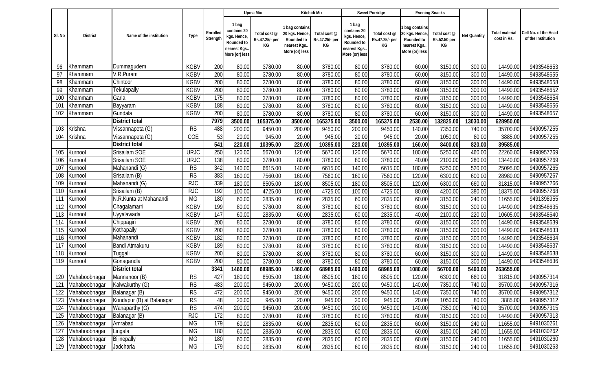|        |                 |                           |             |                      |                                                                                     | Upma Mix                             |                                                                                 | Kitchidi Mix                         |                                                                                     | Sweet Porridge                       |                                                                               | <b>Evening Snacks</b>              |              |                               |                                            |
|--------|-----------------|---------------------------|-------------|----------------------|-------------------------------------------------------------------------------------|--------------------------------------|---------------------------------------------------------------------------------|--------------------------------------|-------------------------------------------------------------------------------------|--------------------------------------|-------------------------------------------------------------------------------|------------------------------------|--------------|-------------------------------|--------------------------------------------|
| SI. No | <b>District</b> | Name of the institution   | Type        | Enrolled<br>Strength | 1 bag<br>contains 20<br>kgs. Hence,<br>Rounded to<br>nearest Kgs.<br>More (or) less | Total cost @<br>Rs.47.25/- per<br>КG | I bag contains<br>20 kgs. Hence<br>Rounded to<br>nearest Kgs.<br>More (or) less | Total cost @<br>Rs.47.25/- per<br>КG | 1 bag<br>contains 20<br>kgs. Hence,<br>Rounded to<br>nearest Kgs.<br>More (or) less | Total cost @<br>Rs.47.25/- per<br>КG | bag contains<br>20 kgs. Hence<br>Rounded to<br>nearest Kgs.<br>More (or) less | Total cost @<br>Rs.52.50 per<br>KG | Net Quantity | Total material<br>cost in Rs. | Cell No. of the Head<br>of the Institution |
| 96     | Khammam         | Dummagudem                | <b>KGBV</b> | 200                  | 80.00                                                                               | 3780.00                              | 80.00                                                                           | 3780.00                              | 80.00                                                                               | 3780.00                              | 60.00                                                                         | 3150.00                            | 300.00       | 14490.00                      | 9493548653                                 |
| 97     | Khammam         | V.R.Puram                 | <b>KGBV</b> | 200                  | 80.00                                                                               | 3780.00                              | 80.00                                                                           | 3780.00                              | 80.00                                                                               | 3780.00                              | 60.00                                                                         | 3150.00                            | 300.00       | 14490.00                      | 9493548655                                 |
| 98     | Khammam         | Chintoor                  | <b>KGBV</b> | 200                  | 80.00                                                                               | 3780.00                              | 80.00                                                                           | 3780.00                              | 80.00                                                                               | 3780.00                              | 60.00                                                                         | 3150.00                            | 300.00       | 14490.00                      | 9493548658                                 |
| 99     | Khammam         | Tekulapally               | <b>KGBV</b> | 200                  | 80.00                                                                               | 3780.00                              | 80.00                                                                           | 3780.00                              | 80.00                                                                               | 3780.00                              | 60.00                                                                         | 3150.00                            | 300.00       | 14490.00                      | 9493548652                                 |
| 100    | Khammam         | Garla                     | <b>KGBV</b> | 175                  | 80.00                                                                               | 3780.00                              | 80.00                                                                           | 3780.00                              | 80.00                                                                               | 3780.00                              | 60.00                                                                         | 3150.00                            | 300.00       | 14490.00                      | 9493548654                                 |
| 101    | Khammam         | Bayyaram                  | <b>KGBV</b> | 188                  | 80.00                                                                               | 3780.00                              | 80.00                                                                           | 3780.00                              | 80.00                                                                               | 3780.00                              | 60.00                                                                         | 3150.00                            | 300.00       | 14490.00                      | 9493548656                                 |
| 102    | Khammam         | Gundala                   | <b>KGBV</b> | 200                  | 80.00                                                                               | 3780.00                              | 80.00                                                                           | 3780.00                              | 80.00                                                                               | 3780.00                              | 60.00                                                                         | 3150.00                            | 300.00       | 14490.00                      | 9493548657                                 |
|        |                 | District total            |             | 7979                 | 3500.00                                                                             | 165375.00                            | 3500.00                                                                         | 165375.00                            | 3500.00                                                                             | 165375.00                            | 2530.00                                                                       | 32825.00                           | 13030.00     | 628950.00                     |                                            |
| 103    | Krishna         | Vissannapeta (G)          | <b>RS</b>   | 488                  | 200.00                                                                              | 9450.00                              | 200.00                                                                          | 9450.00                              | 200.00                                                                              | 9450.00                              | 140.00                                                                        | 7350.00                            | 740.00       | 35700.00                      | 9490957255                                 |
| 104    | Krishna         | Vissannapeta (G)          | COE         | 53                   | 20.00                                                                               | 945.00                               | 20.00                                                                           | 945.00                               | 20.00                                                                               | 945.00                               | 20.00                                                                         | 1050.00                            | 80.00        | 3885.00                       | 9490957255                                 |
|        |                 | <b>District total</b>     |             | 541                  | 220.00                                                                              | 10395.00                             | 220.00                                                                          | 10395.00                             | 220.00                                                                              | 10395.00                             | 160.00                                                                        | 8400.00                            | 820.00       | 39585.00                      |                                            |
| 105    | Kurnool         | Srisailam SOE             | <b>URJC</b> | 250                  | 120.00                                                                              | 5670.00                              | 120.00                                                                          | 5670.00                              | 120.00                                                                              | 5670.00                              | 100.00                                                                        | 5250.00                            | 460.00       | 22260.00                      | 9490957269                                 |
| 106    | Kurnool         | Srisailam SOE             | <b>URJC</b> | 138                  | 80.00                                                                               | 3780.00                              | 80.00                                                                           | 3780.00                              | 80.00                                                                               | 3780.00                              | 40.00                                                                         | 2100.00                            | 280.00       | 13440.00                      | 9490957269                                 |
| 107    | Kurnool         | Mahanandi (G)             | RS          | 342                  | 140.00                                                                              | 6615.00                              | 140.00                                                                          | 6615.00                              | 140.00                                                                              | 6615.00                              | 100.00                                                                        | 5250.00                            | 520.00       | 25095.00                      | 9490957265                                 |
| 108    | Kurnool         | Srisailam (B)             | RS          | 383                  | 160.00                                                                              | 7560.00                              | 160.00                                                                          | 7560.00                              | 160.00                                                                              | 7560.00                              | 120.00                                                                        | 6300.00                            | 600.00       | 28980.00                      | 9490957267                                 |
| 109    | Kurnool         | Mahanandi (G)             | <b>RJC</b>  | 339                  | 180.00                                                                              | 8505.00                              | 180.00                                                                          | 8505.00                              | 180.00                                                                              | 8505.00                              | 120.00                                                                        | 6300.00                            | 660.00       | 31815.00                      | 9490957266                                 |
| 110    | Kurnool         | Srisailam (B)             | <b>RJC</b>  | 192                  | 100.00                                                                              | 4725.00                              | 100.00                                                                          | 4725.00                              | 100.00                                                                              | 4725.00                              | 80.00                                                                         | 4200.00                            | 380.00       | 18375.00                      | 9490957268                                 |
| 111    | Kurnool         | N.R.Kunta at Mahanandi    | <b>MG</b>   | 180                  | 60.00                                                                               | 2835.00                              | 60.00                                                                           | 2835.00                              | 60.00                                                                               | 2835.00                              | 60.00                                                                         | 3150.00                            | 240.00       | 11655.00                      | 9491398955                                 |
| 112    | Kurnool         | Chagalamarri              | <b>KGBV</b> | 199                  | 80.00                                                                               | 3780.00                              | 80.00                                                                           | 3780.00                              | 80.00                                                                               | 3780.00                              | 60.00                                                                         | 3150.00                            | 300.00       | 14490.00                      | 9493548635                                 |
| 113    | Kurnool         | Uyyalawada                | <b>KGBV</b> | 147                  | 60.00                                                                               | 2835.00                              | 60.00                                                                           | 2835.00                              | 60.00                                                                               | 2835.00                              | 40.00                                                                         | 2100.00                            | 220.00       | 10605.00                      | 9493548640                                 |
| 114    | Kurnool         | Chippagiri                | <b>KGBV</b> | 200                  | 80.00                                                                               | 3780.00                              | 80.00                                                                           | 3780.00                              | 80.00                                                                               | 3780.00                              | 60.00                                                                         | 3150.00                            | 300.00       | 14490.00                      | 9493548639                                 |
| 115    | Kurnool         | Kothapally                | <b>KGBV</b> | 200                  | 80.00                                                                               | 3780.00                              | 80.00                                                                           | 3780.00                              | 80.00                                                                               | 3780.00                              | 60.00                                                                         | 3150.00                            | 300.00       | 14490.00                      | 9493548633                                 |
| 116    | Kurnool         | Mahanandi                 | <b>KGBV</b> | 182                  | 80.00                                                                               | 3780.00                              | 80.00                                                                           | 3780.00                              | 80.00                                                                               | 3780.00                              | 60.00                                                                         | 3150.00                            | 300.00       | 14490.00                      | 9493548634                                 |
| 117    | Kurnool         | Bandi Atmakuru            | <b>KGBV</b> | 189                  | 80.00                                                                               | 3780.00                              | 80.00                                                                           | 3780.00                              | 80.00                                                                               | 3780.00                              | 60.00                                                                         | 3150.00                            | 300.00       | 14490.00                      | 9493548637                                 |
| 118    | Kurnool         | Tuggali                   | <b>KGBV</b> | 200                  | 80.00                                                                               | 3780.00                              | 80.00                                                                           | 3780.00                              | 80.00                                                                               | 3780.00                              | 60.00                                                                         | 3150.00                            | 300.00       | 14490.00                      | 9493548638                                 |
| 119    | Kurnool         | Gonagandla                | <b>KGBV</b> | 200                  | 80.00                                                                               | 3780.00                              | 80.00                                                                           | 3780.00                              | 80.00                                                                               | 3780.00                              | 60.00                                                                         | 3150.00                            | 300.00       | 14490.00                      | 9493548636                                 |
|        |                 | <b>District total</b>     |             | 3341                 | 1460.00                                                                             | 68985.00                             | 1460.00                                                                         | 68985.00                             | 1460.00                                                                             | 68985.00                             | 1080.00                                                                       | 56700.00                           | 5460.00      | 263655.00                     |                                            |
| 120    | Mahaboobnagar   | Mannanoor (B)             | <b>RS</b>   | 427                  | 180.00                                                                              | 8505.00                              | 180.00                                                                          | 8505.00                              | 180.00                                                                              | 8505.00                              | 120.00                                                                        | 6300.00                            | 660.00       | 31815.00                      | 9490957314                                 |
| 121    | Mahaboobnagar   | Kalwakurthy (G)           | <b>RS</b>   | 483                  | 200.00                                                                              | 9450.00                              | 200.00                                                                          | 9450.00                              | 200.00                                                                              | 9450.00                              | 140.00                                                                        | 7350.00                            | 740.00       | 35700.00                      | 9490957316                                 |
| 122    | Mahaboobnagar   | Balanagar (B)             | <b>RS</b>   | 472                  | 200.00                                                                              | 9450.00                              | 200.00                                                                          | 9450.00                              | 200.00                                                                              | 9450.00                              | 140.00                                                                        | 7350.00                            | 740.00       | 35700.00                      | 9490957312                                 |
| 123    | Mahaboobnagar   | Kondapur (B) at Balanagar | RS          | 48                   | 20.00                                                                               | 945.00                               | 20.00                                                                           | 945.00                               | 20.00                                                                               | 945.00                               | 20.00                                                                         | 1050.00                            | 80.00        | 3885.00                       | 9490957312                                 |
| 124    | Mahaboobnagar   | Wanaparthy (G)            | RS          | 474                  | 200.00                                                                              | 9450.00                              | 200.00                                                                          | 9450.00                              | 200.00                                                                              | 9450.00                              | 140.00                                                                        | 7350.00                            | 740.00       | 35700.00                      | 9490957315                                 |
| 125    | Mahaboobnagar   | Balanagar (B)             | <b>RJC</b>  | 172                  | 80.00                                                                               | 3780.00                              | 80.00                                                                           | 3780.00                              | 80.00                                                                               | 3780.00                              | 60.00                                                                         | 3150.00                            | 300.00       | 14490.00                      | 9490957313                                 |
| 126    | Mahaboobnagar   | Amrabad                   | <b>MG</b>   | 179                  | 60.00                                                                               | 2835.00                              | 60.00                                                                           | 2835.00                              | 60.00                                                                               | 2835.00                              | 60.00                                                                         | 3150.00                            | 240.00       | 11655.00                      | 9491030261                                 |
| 127    | Mahaboobnagar   | Lingala                   | MG          | 180                  | 60.00                                                                               | 2835.00                              | 60.00                                                                           | 2835.00                              | 60.00                                                                               | 2835.00                              | 60.00                                                                         | 3150.00                            | 240.00       | 11655.00                      | 9491030262                                 |
| 128    | Mahaboobnagar   | Bijinepally               | <b>MG</b>   | 180                  | 60.00                                                                               | 2835.00                              | 60.00                                                                           | 2835.00                              | 60.00                                                                               | 2835.00                              | 60.00                                                                         | 3150.00                            | 240.00       | 11655.00                      | 9491030260                                 |
| 129    | Mahaboobnagar   | Jadcharla                 | MG          | 179                  | 60.00                                                                               | 2835.00                              | 60.00                                                                           | 2835.00                              | 60.00                                                                               | 2835.00                              | 60.00                                                                         | 3150.00                            | 240.00       | 11655.00                      | 9491030263                                 |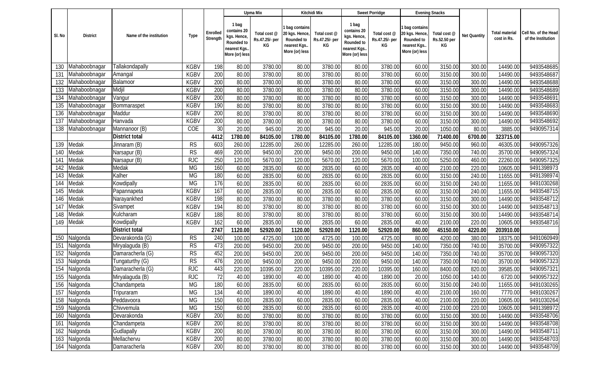|        |               |                         |             |                      |                                                                                     | Upma Mix                             |                                                                                | Kitchidi Mix                         |                                                                                    | Sweet Porridge                       |                                                                               | <b>Evening Snacks</b>              |              |                               |                                            |
|--------|---------------|-------------------------|-------------|----------------------|-------------------------------------------------------------------------------------|--------------------------------------|--------------------------------------------------------------------------------|--------------------------------------|------------------------------------------------------------------------------------|--------------------------------------|-------------------------------------------------------------------------------|------------------------------------|--------------|-------------------------------|--------------------------------------------|
| SI. No | District      | Name of the institution | Type        | Enrolled<br>Strength | 1 bag<br>contains 20<br>kgs. Hence,<br>Rounded to<br>nearest Kgs.<br>More (or) less | Total cost @<br>Rs.47.25/- per<br>КG | bag contains<br>20 kgs. Hence,<br>Rounded to<br>nearest Kgs.<br>More (or) less | Total cost @<br>Rs.47.25/- per<br>KG | 1 bag<br>contains 20<br>kgs. Hence<br>Rounded to<br>nearest Kgs.<br>More (or) less | Total cost @<br>Rs.47.25/- per<br>КG | bag contains<br>20 kgs. Hence<br>Rounded to<br>nearest Kgs.<br>More (or) less | Total cost @<br>Rs.52.50 per<br>KG | Net Quantity | Total material<br>cost in Rs. | Cell No. of the Head<br>of the Institution |
| 130    | Mahaboobnagar | Tallakondapally         | <b>KGBV</b> | 198                  | 80.00                                                                               | 3780.00                              | 80.00                                                                          | 3780.00                              | 80.00                                                                              | 3780.00                              | 60.00                                                                         | 3150.00                            | 300.00       | 14490.00                      | 9493548685                                 |
| 131    | Mahaboobnagar | Amangal                 | <b>KGBV</b> | 200                  | 80.00                                                                               | 3780.00                              | 80.00                                                                          | 3780.00                              | 80.00                                                                              | 3780.00                              | 60.00                                                                         | 3150.00                            | 300.00       | 14490.00                      | 9493548687                                 |
| 132    | Mahaboobnagar | Balamoor                | <b>KGBV</b> | 200                  | 80.00                                                                               | 3780.00                              | 80.00                                                                          | 3780.00                              | 80.00                                                                              | 3780.00                              | 60.00                                                                         | 3150.00                            | 300.00       | 14490.00                      | 9493548688                                 |
| 133    | Mahaboobnagar | Midjil                  | <b>KGBV</b> | 200                  | 80.00                                                                               | 3780.00                              | 80.00                                                                          | 3780.00                              | 80.00                                                                              | 3780.00                              | 60.00                                                                         | 3150.00                            | 300.00       | 14490.00                      | 9493548689                                 |
| 134    | Mahaboobnagar | Vangur                  | <b>KGBV</b> | 200                  | 80.00                                                                               | 3780.00                              | 80.00                                                                          | 3780.00                              | 80.00                                                                              | 3780.00                              | 60.00                                                                         | 3150.00                            | 300.00       | 14490.00                      | 9493548691                                 |
| 135    | Mahaboobnagar | Bommaraspet             | <b>KGBV</b> | 190                  | 80.00                                                                               | 3780.00                              | 80.00                                                                          | 3780.00                              | 80.00                                                                              | 3780.00                              | 60.00                                                                         | 3150.00                            | 300.00       | 14490.00                      | 9493548683                                 |
| 136    | Mahaboobnagar | Maddur                  | <b>KGBV</b> | 200                  | 80.00                                                                               | 3780.00                              | 80.00                                                                          | 3780.00                              | 80.00                                                                              | 3780.00                              | 60.00                                                                         | 3150.00                            | 300.00       | 14490.00                      | 9493548690                                 |
| 137    | Mahaboobnagar | Hanvada                 | <b>KGBV</b> | 200                  | 80.00                                                                               | 3780.00                              | 80.00                                                                          | 3780.00                              | 80.00                                                                              | 3780.00                              | 60.00                                                                         | 3150.00                            | 300.00       | 14490.00                      | 9493548692                                 |
| 138    | Mahaboobnagar | Mannanoor (B)           | COE         | 30                   | 20.00                                                                               | 945.00                               | 20.00                                                                          | 945.00                               | 20.00                                                                              | 945.00                               | 20.00                                                                         | 1050.00                            | 80.00        | 3885.00                       | 9490957314                                 |
|        |               | District total          |             | 4412                 | 1780.00                                                                             | 84105.00                             | 1780.00                                                                        | 84105.00                             | 1780.00                                                                            | 84105.00                             | 1360.00                                                                       | 71400.00                           | 6700.00      | 323715.00                     |                                            |
| 139    | Medak         | Jinnaram (B)            | RS          | 603                  | 260.00                                                                              | 12285.00                             | 260.00                                                                         | 12285.00                             | 260.00                                                                             | 12285.00                             | 180.00                                                                        | 9450.00                            | 960.00       | 46305.00                      | 9490957326                                 |
| 140    | Medak         | Narsapur (B)            | <b>RS</b>   | 469                  | 200.00                                                                              | 9450.00                              | 200.00                                                                         | 9450.00                              | 200.00                                                                             | 9450.00                              | 140.00                                                                        | 7350.00                            | 740.00       | 35700.00                      | 9490957324                                 |
| 141    | Medak         | Narsapur (B)            | <b>RJC</b>  | 250                  | 120.00                                                                              | 5670.00                              | 120.00                                                                         | 5670.00                              | 120.00                                                                             | 5670.00                              | 100.00                                                                        | 5250.00                            | 460.00       | 22260.00                      | 9490957325                                 |
| 142    | Medak         | Medak                   | <b>MG</b>   | 160                  | 60.00                                                                               | 2835.00                              | 60.00                                                                          | 2835.00                              | 60.00                                                                              | 2835.00                              | 40.00                                                                         | 2100.00                            | 220.00       | 10605.00                      | 9491398973                                 |
| 143    | Medak         | Kalher                  | <b>MG</b>   | 180                  | 60.00                                                                               | 2835.00                              | 60.00                                                                          | 2835.00                              | 60.00                                                                              | 2835.00                              | 60.00                                                                         | 3150.00                            | 240.00       | 11655.00                      | 9491398974                                 |
| 144    | Medak         | Kowdipally              | <b>MG</b>   | 176                  | 60.00                                                                               | 2835.00                              | 60.00                                                                          | 2835.00                              | 60.00                                                                              | 2835.00                              | 60.00                                                                         | 3150.00                            | 240.00       | 11655.00                      | 9491030268                                 |
| 145    | Medak         | Papannapeta             | <b>KGBV</b> | 167                  | 60.00                                                                               | 2835.00                              | 60.00                                                                          | 2835.00                              | 60.00                                                                              | 2835.00                              | 60.00                                                                         | 3150.00                            | 240.00       | 11655.00                      | 9493548715                                 |
| 146    | Medak         | Narayankhed             | <b>KGBV</b> | 198                  | 80.00                                                                               | 3780.00                              | 80.00                                                                          | 3780.00                              | 80.00                                                                              | 3780.00                              | 60.00                                                                         | 3150.00                            | 300.00       | 14490.00                      | 9493548712                                 |
| 147    | Medak         | Sivampet                | <b>KGBV</b> | 194                  | 80.00                                                                               | 3780.00                              | 80.00                                                                          | 3780.00                              | 80.00                                                                              | 3780.00                              | 60.00                                                                         | 3150.00                            | 300.00       | 14490.00                      | 9493548713                                 |
| 148    | Medak         | Kulcharam               | <b>KGBV</b> | 188                  | 80.00                                                                               | 3780.00                              | 80.00                                                                          | 3780.00                              | 80.00                                                                              | 3780.00                              | 60.00                                                                         | 3150.00                            | 300.00       | 14490.00                      | 9493548714                                 |
| 149    | Medak         | Kowdipally              | <b>KGBV</b> | 162                  | 60.00                                                                               | 2835.00                              | 60.00                                                                          | 2835.00                              | 60.00                                                                              | 2835.00                              | 40.00                                                                         | 2100.00                            | 220.00       | 10605.00                      | 9493548716                                 |
|        |               | <b>District total</b>   |             | 2747                 | 1120.00                                                                             | 52920.00                             | 1120.00                                                                        | 52920.00                             | 1120.00                                                                            | 52920.00                             | 860.00                                                                        | 45150.00                           | 4220.00      | 203910.00                     |                                            |
| 150    | Nalgonda      | Devarakonda (G)         | RS          | 240                  | 100.00                                                                              | 4725.00                              | 100.00                                                                         | 4725.00                              | 100.00                                                                             | 4725.00                              | 80.00                                                                         | 4200.00                            | 380.00       | 18375.00                      | 9491060949                                 |
| 151    | Nalgonda      | Miryalaguda (B)         | <b>RS</b>   | 473                  | 200.00                                                                              | 9450.00                              | 200.00                                                                         | 9450.00                              | 200.00                                                                             | 9450.00                              | 140.00                                                                        | 7350.00                            | 740.00       | 35700.00                      | 9490957322                                 |
| 152    | Nalgonda      | Damaracherla (G)        | RS          | 452                  | 200.00                                                                              | 9450.00                              | 200.00                                                                         | 9450.00                              | 200.00                                                                             | 9450.00                              | 140.00                                                                        | 7350.00                            | 740.00       | 35700.00                      | 9490957320                                 |
| 153    | Nalgonda      | Tungaturthy (G)         | <b>RS</b>   | 476                  | 200.00                                                                              | 9450.00                              | 200.00                                                                         | 9450.00                              | 200.00                                                                             | 9450.00                              | 140.00                                                                        | 7350.00                            | 740.00       | 35700.00                      | 9490957323                                 |
| 154    | Nalgonda      | Damaracherla (G)        | <b>RJC</b>  | 443                  | 220.00                                                                              | 10395.00                             | 220.00                                                                         | 10395.00                             | 220.00                                                                             | 10395.00                             | 160.00                                                                        | 8400.00                            | 820.00       | 39585.00                      | 9490957321                                 |
| 155    | Nalgonda      | Miryalaguda (B)         | <b>RJC</b>  | 72                   | 40.00                                                                               | 1890.00                              | 40.00                                                                          | 1890.00                              | 40.00                                                                              | 1890.00                              | 20.00                                                                         | 1050.00                            | 140.00       | 6720.00                       | 9490957322                                 |
|        | 156 Nalgonda  | Chandampeta             | MG          | 180                  | 60.00                                                                               | 2835.00                              | 60.00                                                                          | 2835.00                              | 60.00                                                                              | 2835.00                              | 60.00                                                                         | 3150.00                            | 240.00       | 11655.00                      | 9491030265                                 |
| 157    | Nalgonda      | Tripuraram              | <b>MG</b>   | 134                  | 40.00                                                                               | 1890.00                              | 40.00                                                                          | 1890.00                              | 40.00                                                                              | 1890.00                              | 40.00                                                                         | 2100.00                            | 160.00       | 7770.00                       | 9491030267                                 |
| 158    | Nalgonda      | Peddavoora              | <b>MG</b>   | 150                  | 60.00                                                                               | 2835.00                              | 60.00                                                                          | 2835.00                              | 60.00                                                                              | 2835.00                              | 40.00                                                                         | 2100.00                            | 220.00       | 10605.00                      | 9491030264                                 |
| 159    | Nalgonda      | Chivvemula              | <b>MG</b>   | 150                  | 60.00                                                                               | 2835.00                              | 60.00                                                                          | 2835.00                              | 60.00                                                                              | 2835.00                              | 40.00                                                                         | 2100.00                            | 220.00       | 10605.00                      | 9491398972                                 |
| 160    | Nalgonda      | Devarakonda             | <b>KGBV</b> | 200                  | 80.00                                                                               | 3780.00                              | 80.00                                                                          | 3780.00                              | 80.00                                                                              | 3780.00                              | 60.00                                                                         | 3150.00                            | 300.00       | 14490.00                      | 9493548706                                 |
| 161    | Nalgonda      | Chandampeta             | <b>KGBV</b> | 200                  | 80.00                                                                               | 3780.00                              | 80.00                                                                          | 3780.00                              | 80.00                                                                              | 3780.00                              | 60.00                                                                         | 3150.00                            | 300.00       | 14490.00                      | 9493548708                                 |
| 162    | Nalgonda      | Gudlapally              | <b>KGBV</b> | 200                  | 80.00                                                                               | 3780.00                              | 80.00                                                                          | 3780.00                              | 80.00                                                                              | 3780.00                              | 60.00                                                                         | 3150.00                            | 300.00       | 14490.00                      | 9493548711                                 |
|        | 163 Nalgonda  | Mellachervu             | <b>KGBV</b> | 200                  | 80.00                                                                               | 3780.00                              | 80.00                                                                          | 3780.00                              | 80.00                                                                              | 3780.00                              | 60.00                                                                         | 3150.00                            | 300.00       | 14490.00                      | 9493548703                                 |
|        | 164 Nalgonda  | Damaracherla            | <b>KGBV</b> | 200                  | 80.00                                                                               | 3780.00                              | 80.00                                                                          | 3780.00                              | 80.00                                                                              | 3780.00                              | 60.00                                                                         | 3150.00                            | 300.00       | 14490.00                      | 9493548709                                 |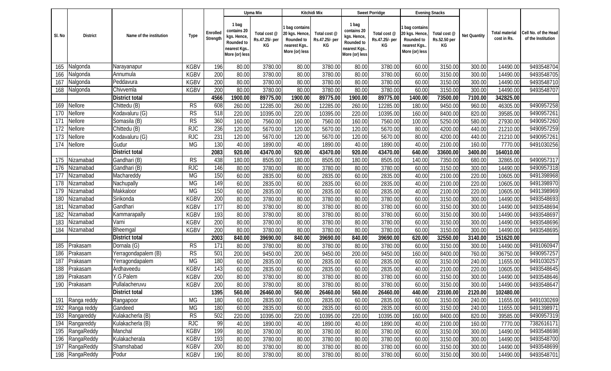|        |                 |                         |                        |                      |                                                                                     | Upma Mix                             |                                                                                  | Kitchidi Mix                         |                                                                                     | Sweet Porridge                       |                                                                                  | <b>Evening Snacks</b>              |              |                               |                                            |
|--------|-----------------|-------------------------|------------------------|----------------------|-------------------------------------------------------------------------------------|--------------------------------------|----------------------------------------------------------------------------------|--------------------------------------|-------------------------------------------------------------------------------------|--------------------------------------|----------------------------------------------------------------------------------|------------------------------------|--------------|-------------------------------|--------------------------------------------|
| SI. No | <b>District</b> | Name of the institution | Type                   | Enrolled<br>Strength | 1 bag<br>contains 20<br>kgs. Hence,<br>Rounded to<br>nearest Kgs.<br>More (or) less | Total cost @<br>Rs.47.25/- per<br>КG | 1 bag contains<br>20 kgs. Hence,<br>Rounded to<br>nearest Kgs.<br>More (or) less | Total cost @<br>Rs.47.25/- per<br>КG | 1 bag<br>contains 20<br>kgs. Hence,<br>Rounded to<br>nearest Kgs.<br>More (or) less | Total cost @<br>Rs.47.25/- per<br>КG | I bag contains<br>20 kgs. Hence,<br>Rounded to<br>nearest Kgs.<br>More (or) less | Total cost @<br>Rs.52.50 per<br>KG | Net Quantity | Total material<br>cost in Rs. | Cell No. of the Head<br>of the Institution |
| 165    | Nalgonda        | Narayanapur             | <b>KGBV</b>            | 196                  | 80.00                                                                               | 3780.00                              | 80.00                                                                            | 3780.00                              | 80.00                                                                               | 3780.00                              | 60.00                                                                            | 3150.00                            | 300.00       | 14490.00                      | 9493548704                                 |
| 166    | Nalgonda        | Annumula                | <b>KGBV</b>            | 200                  | 80.00                                                                               | 3780.00                              | 80.00                                                                            | 3780.00                              | 80.00                                                                               | 3780.00                              | 60.00                                                                            | 3150.00                            | 300.00       | 14490.00                      | 9493548705                                 |
| 167    | Nalgonda        | Peddavura               | <b>KGBV</b>            | 200                  | 80.00                                                                               | 3780.00                              | 80.00                                                                            | 3780.00                              | 80.00                                                                               | 3780.00                              | 60.00                                                                            | 3150.00                            | 300.00       | 14490.00                      | 9493548710                                 |
| 168    | Nalgonda        | Chivvemla               | <b>KGBV</b>            | 200                  | 80.00                                                                               | 3780.00                              | 80.00                                                                            | 3780.00                              | 80.00                                                                               | 3780.00                              | 60.00                                                                            | 3150.00                            | 300.00       | 14490.00                      | 9493548707                                 |
|        |                 | District total          |                        | 4566                 | 1900.00                                                                             | 89775.00                             | 1900.00                                                                          | 89775.00                             | 1900.00                                                                             | 89775.00                             | 1400.00                                                                          | 73500.00                           | 7100.00      | 342825.00                     |                                            |
| 169    | Nellore         | Chittedu (B)            | RS                     | 608                  | 260.00                                                                              | 12285.00                             | 260.00                                                                           | 12285.00                             | 260.00                                                                              | 12285.00                             | 180.00                                                                           | 9450.00                            | 960.00       | 46305.00                      | 9490957258                                 |
| 170    | Nellore         | Kodavaluru (G)          | $\overline{\text{RS}}$ | 518                  | 220.00                                                                              | 10395.00                             | 220.00                                                                           | 10395.00                             | 220.00                                                                              | 10395.00                             | 160.00                                                                           | 8400.00                            | 820.00       | 39585.00                      | 9490957261                                 |
| 171    | Nellore         | Somasila (B)            | RS                     | 360                  | 160.00                                                                              | 7560.00                              | 160.00                                                                           | 7560.00                              | 160.00                                                                              | 7560.00                              | 100.00                                                                           | 5250.00                            | 580.00       | 27930.00                      | 9490957260                                 |
| 172    | Nellore         | Chittedu (B)            | <b>RJC</b>             | 236                  | 120.00                                                                              | 5670.00                              | 120.00                                                                           | 5670.00                              | 120.00                                                                              | 5670.00                              | 80.00                                                                            | 4200.00                            | 440.00       | 21210.00                      | 9490957259                                 |
| 173    | Nellore         | Kodavaluru (G)          | RJC                    | 231                  | 120.00                                                                              | 5670.00                              | 120.00                                                                           | 5670.00                              | 120.00                                                                              | 5670.00                              | 80.00                                                                            | 4200.00                            | 440.00       | 21210.00                      | 9490957261                                 |
| 174    | Nellore         | Gudur                   | MG                     | 130                  | 40.00                                                                               | 1890.00                              | 40.00                                                                            | 1890.00                              | 40.00                                                                               | 1890.00                              | 40.00                                                                            | 2100.00                            | 160.00       | 7770.00                       | 9491030256                                 |
|        |                 | <b>District total</b>   |                        | 2083                 | 920.00                                                                              | 43470.00                             | 920.00                                                                           | 43470.00                             | 920.00                                                                              | 43470.00                             | 640.00                                                                           | 33600.00                           | 3400.00      | 164010.00                     |                                            |
| 175    | Nizamabad       | Gandhari (B)            | <b>RS</b>              | 438                  | 180.00                                                                              | 8505.00                              | 180.00                                                                           | 8505.00                              | 180.00                                                                              | 8505.00                              | 140.00                                                                           | 7350.00                            | 680.00       | 32865.00                      | 9490957317                                 |
| 176    | Nizamabad       | Gandhari (B)            | RJC                    | 146                  | 80.00                                                                               | 3780.00                              | 80.00                                                                            | 3780.00                              | 80.00                                                                               | 3780.00                              | 60.00                                                                            | 3150.00                            | 300.00       | 14490.00                      | 9490957318                                 |
| 177    | Nizamabad       | Machareddy              | <b>MG</b>              | 150                  | 60.00                                                                               | 2835.00                              | 60.00                                                                            | 2835.00                              | 60.00                                                                               | 2835.00                              | 40.00                                                                            | 2100.00                            | 220.00       | 10605.00                      | 9491398968                                 |
| 178    | Nizamabad       | Nachupally              | <b>MG</b>              | 149                  | 60.00                                                                               | 2835.00                              | 60.00                                                                            | 2835.00                              | 60.00                                                                               | 2835.00                              | 40.00                                                                            | 2100.00                            | 220.00       | 10605.00                      | 9491398970                                 |
| 179    | Nizamabad       | Makkaloor               | <b>MG</b>              | 150                  | 60.00                                                                               | 2835.00                              | 60.00                                                                            | 2835.00                              | 60.00                                                                               | 2835.00                              | 40.00                                                                            | 2100.00                            | 220.00       | 10605.00                      | 9491398969                                 |
| 180    | Nizamabad       | Sirikonda               | <b>KGBV</b>            | 200                  | 80.00                                                                               | 3780.00                              | 80.00                                                                            | 3780.00                              | 80.00                                                                               | 3780.00                              | 60.00                                                                            | 3150.00                            | 300.00       | 14490.00                      | 9493548693                                 |
| 181    | Nizamabad       | Gandhari                | <b>KGBV</b>            | 177                  | 80.00                                                                               | 3780.00                              | 80.00                                                                            | 3780.00                              | 80.00                                                                               | 3780.00                              | 60.00                                                                            | 3150.00                            | 300.00       | 14490.00                      | 9493548694                                 |
| 182    | Nizamabad       | Kammarapally            | <b>KGBV</b>            | 193                  | 80.00                                                                               | 3780.00                              | 80.00                                                                            | 3780.00                              | 80.00                                                                               | 3780.00                              | 60.00                                                                            | 3150.00                            | 300.00       | 14490.00                      | 9493548697                                 |
| 183    | Nizamabad       | Varni                   | <b>KGBV</b>            | 200                  | 80.00                                                                               | 3780.00                              | 80.00                                                                            | 3780.00                              | 80.00                                                                               | 3780.00                              | 60.00                                                                            | 3150.00                            | 300.00       | 14490.00                      | 9493548696                                 |
| 184    | Nizamabad       | Bheemgal                | <b>KGBV</b>            | 200                  | 80.00                                                                               | 3780.00                              | 80.00                                                                            | 3780.00                              | 80.00                                                                               | 3780.00                              | 60.00                                                                            | 3150.00                            | 300.00       | 14490.00                      | 9493548695                                 |
|        |                 | District total          |                        | 2003                 | 840.00                                                                              | 39690.00                             | 840.00                                                                           | 39690.00                             | 840.00                                                                              | 39690.00                             | 620.00                                                                           | 32550.00                           | 3140.00      | 151620.00                     |                                            |
| 185    | Prakasam        | Dornala (G)             | <b>RS</b>              | 171                  | 80.00                                                                               | 3780.00                              | 80.00                                                                            | 3780.00                              | 80.00                                                                               | 3780.00                              | 60.00                                                                            | 3150.00                            | 300.00       | 14490.00                      | 9491060947                                 |
| 186    | Prakasam        | Yerragondapalem (B)     | <b>RS</b>              | 501                  | 200.00                                                                              | 9450.00                              | 200.00                                                                           | 9450.00                              | 200.00                                                                              | 9450.00                              | 160.00                                                                           | 8400.00                            | 760.00       | 36750.00                      | 9490957257                                 |
| 187    | Prakasam        | Yerragondapalem         | <b>MG</b>              | 180                  | 60.00                                                                               | 2835.00                              | 60.00                                                                            | 2835.00                              | 60.00                                                                               | 2835.00                              | 60.00                                                                            | 3150.00                            | 240.00       | 11655.00                      | 9491030257                                 |
| 188    | Prakasam        | Ardhaveedu              | <b>KGBV</b>            | 143                  | 60.00                                                                               | 2835.00                              | 60.00                                                                            | 2835.00                              | 60.00                                                                               | 2835.00                              | 40.00                                                                            | 2100.00                            | 220.00       | 10605.00                      | 9493548645                                 |
| 189    | Prakasam        | Y.G.Palem               | <b>KGBV</b>            | 200                  | 80.00                                                                               | 3780.00                              | 80.00                                                                            | 3780.00                              | 80.00                                                                               | 3780.00                              | 60.00                                                                            | 3150.00                            | 300.00       | 14490.00                      | 9493548646                                 |
|        | 190 Prakasam    | Pullalacheruvu          | KGBV                   | 200                  | 80.00                                                                               | 3780.00                              | 80.00                                                                            | 3780.00                              | 80.00                                                                               | 3780.00                              | 60.00                                                                            | 3150.00                            | 300.00       | 14490.00                      | 9493548647                                 |
|        |                 | District total          |                        | 1395                 | 560.00                                                                              | 26460.00                             | 560.00                                                                           | 26460.00                             | 560.00                                                                              | 26460.00                             | 440.00                                                                           | 23100.00                           | 2120.00      | 102480.00                     |                                            |
| 191    | Ranga reddy     | Rangapoor               | <b>MG</b>              | 180                  | 60.00                                                                               | 2835.00                              | 60.00                                                                            | 2835.00                              | 60.00                                                                               | 2835.00                              | 60.00                                                                            | 3150.00                            | 240.00       | 11655.00                      | 9491030269                                 |
|        | 192 Ranga reddy | Gandeed                 | MG                     | 180                  | 60.00                                                                               | 2835.00                              | 60.00                                                                            | 2835.00                              | 60.00                                                                               | 2835.00                              | 60.00                                                                            | 3150.00                            | 240.00       | 11655.00                      | 9491398971                                 |
|        | 193 Rangareddy  | Kulakacherla (B)        | RS                     | 502                  | 220.00                                                                              | 10395.00                             | 220.00                                                                           | 10395.00                             | 220.00                                                                              | 10395.00                             | 160.00                                                                           | 8400.00                            | 820.00       | 39585.00                      | 9490957319                                 |
|        | 194 Rangareddy  | Kulakacherla (B)        | <b>RJC</b>             | 99                   | 40.00                                                                               | 1890.00                              | 40.00                                                                            | 1890.00                              | 40.00                                                                               | 1890.00                              | 40.00                                                                            | 2100.00                            | 160.00       | 7770.00                       | 7382616171                                 |
|        | 195 RangaReddy  | Manchal                 | <b>KGBV</b>            | 199                  | 80.00                                                                               | 3780.00                              | 80.00                                                                            | 3780.00                              | 80.00                                                                               | 3780.00                              | 60.00                                                                            | 3150.00                            | 300.00       | 14490.00                      | 9493548698                                 |
|        | 196 RangaReddy  | Kulakacherala           | <b>KGBV</b>            | 193                  | 80.00                                                                               | 3780.00                              | 80.00                                                                            | 3780.00                              | 80.00                                                                               | 3780.00                              | 60.00                                                                            | 3150.00                            | 300.00       | 14490.00                      | 9493548700                                 |
|        | 197 RangaReddy  | Shamshabad              | <b>KGBV</b>            | 200                  | 80.00                                                                               | 3780.00                              | 80.00                                                                            | 3780.00                              | 80.00                                                                               | 3780.00                              | 60.00                                                                            | 3150.00                            | 300.00       | 14490.00                      | 9493548699                                 |
|        | 198 RangaReddy  | Podur                   | <b>KGBV</b>            | 190                  | 80.00                                                                               | 3780.00                              | 80.00                                                                            | 3780.00                              | 80.00                                                                               | 3780.00                              | 60.00                                                                            | 3150.00                            | 300.00       | 14490.00                      | 9493548701                                 |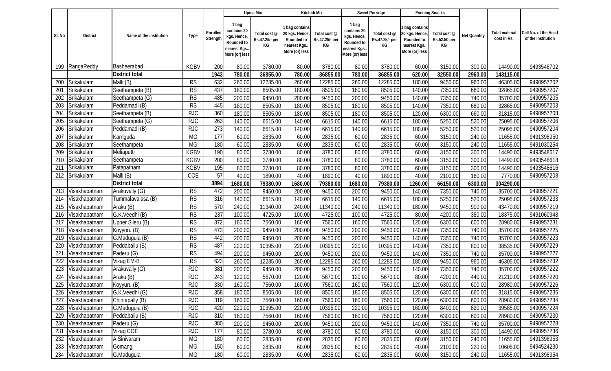|        |                   |                         |                        |                      |                                                                                     | Upma Mix                             |                                                                                  | Kitchidi Mix                         |                                                                                     | Sweet Porridge                       |                                                                                 | <b>Evening Snacks</b>              |              |                               |                                            |
|--------|-------------------|-------------------------|------------------------|----------------------|-------------------------------------------------------------------------------------|--------------------------------------|----------------------------------------------------------------------------------|--------------------------------------|-------------------------------------------------------------------------------------|--------------------------------------|---------------------------------------------------------------------------------|------------------------------------|--------------|-------------------------------|--------------------------------------------|
| SI. No | <b>District</b>   | Name of the institution | Type                   | Enrolled<br>Strength | 1 bag<br>contains 20<br>kgs. Hence,<br>Rounded to<br>nearest Kgs.<br>More (or) less | Total cost @<br>Rs.47.25/- per<br>КG | 1 bag contains<br>20 kgs. Hence,<br>Rounded to<br>nearest Kgs.<br>More (or) less | Total cost @<br>Rs.47.25/- per<br>КG | 1 bag<br>contains 20<br>kgs. Hence,<br>Rounded to<br>nearest Kgs.<br>More (or) less | Total cost @<br>Rs.47.25/- per<br>КG | I bag contains<br>20 kgs. Hence<br>Rounded to<br>nearest Kgs.<br>More (or) less | Total cost @<br>Rs.52.50 per<br>KG | Net Quantity | Total material<br>cost in Rs. | Cell No. of the Head<br>of the Institution |
| 199    | RangaReddy        | Basheerabad             | <b>KGBV</b>            | 200                  | 80.00                                                                               | 3780.00                              | 80.00                                                                            | 3780.00                              | 80.00                                                                               | 3780.00                              | 60.00                                                                           | 3150.00                            | 300.00       | 14490.00                      | 9493548702                                 |
|        |                   | District total          |                        | 1943                 | 780.00                                                                              | 36855.00                             | 780.00                                                                           | 36855.00                             | 780.00                                                                              | 36855.00                             | 620.00                                                                          | 32550.00                           | 2960.00      | 143115.00                     |                                            |
| 200    | Srikakulam        | Malli (B)               | <b>RS</b>              | 632                  | 260.00                                                                              | 12285.00                             | 260.00                                                                           | 12285.00                             | 260.00                                                                              | 12285.00                             | 180.00                                                                          | 9450.00                            | 960.00       | 46305.00                      | 9490957202                                 |
| 201    | Srikakulam        | Seethampeta (B)         | <b>RS</b>              | 437                  | 180.00                                                                              | 8505.00                              | 180.00                                                                           | 8505.00                              | 180.00                                                                              | 8505.00                              | 140.00                                                                          | 7350.00                            | 680.00       | 32865.00                      | 9490957207                                 |
| 202    | Srikakulam        | Seethampeta (G)         | <b>RS</b>              | 485                  | 200.00                                                                              | 9450.00                              | 200.00                                                                           | 9450.00                              | 200.00                                                                              | 9450.00                              | 140.00                                                                          | 7350.00                            | 740.00       | 35700.00                      | 9490957205                                 |
| 203    | Srikakulam        | Peddamadi (B)           | RS                     | 445                  | 180.00                                                                              | 8505.00                              | 180.00                                                                           | 8505.00                              | 180.00                                                                              | 8505.00                              | 140.00                                                                          | 7350.00                            | 680.00       | 32865.00                      | 9490957203                                 |
| 204    | Srikakulam        | Seethampeta (B)         | RJC                    | 360                  | 180.00                                                                              | 8505.00                              | 180.00                                                                           | 8505.00                              | 180.00                                                                              | 8505.00                              | 120.00                                                                          | 6300.00                            | 660.00       | 31815.00                      | 9490957208                                 |
| 205    | Srikakulam        | Seethampeta (G)         | <b>RJC</b>             | $\overline{263}$     | 140.00                                                                              | 6615.00                              | 140.00                                                                           | 6615.00                              | 140.00                                                                              | 6615.00                              | 100.00                                                                          | 5250.00                            | 520.00       | 25095.00                      | 9490957206                                 |
| 206    | Srikakulam        | Peddamadi (B)           | <b>RJC</b>             | $\overline{273}$     | 140.00                                                                              | 6615.00                              | 140.00                                                                           | 6615.00                              | 140.00                                                                              | 6615.00                              | 100.00                                                                          | 5250.00                            | 520.00       | 25095.00                      | 9490957204                                 |
| 207    | Srikakulam        | Karriguda               | <b>MG</b>              | 177                  | 60.00                                                                               | 2835.00                              | 60.00                                                                            | 2835.00                              | 60.00                                                                               | 2835.00                              | 60.00                                                                           | 3150.00                            | 240.00       | 11655.00                      | 9491398950                                 |
| 208    | Srikakulam        | Seethampeta             | MG                     | 180                  | 60.00                                                                               | 2835.00                              | 60.00                                                                            | 2835.00                              | 60.00                                                                               | 2835.00                              | 60.00                                                                           | 3150.00                            | 240.00       | 11655.00                      | 9491030254                                 |
| 209    | Srikakulam        | Meliaputti              | <b>KGBV</b>            | 190                  | 80.00                                                                               | 3780.00                              | 80.00                                                                            | 3780.00                              | 80.00                                                                               | 3780.00                              | 60.00                                                                           | 3150.00                            | 300.00       | 14490.00                      | 9493548617                                 |
| 210    | Srikakulam        | Seethampeta             | <b>KGBV</b>            | 200                  | 80.00                                                                               | 3780.00                              | 80.00                                                                            | 3780.00                              | 80.00                                                                               | 3780.00                              | 60.00                                                                           | 3150.00                            | 300.00       | 14490.00                      | 9493548618                                 |
| 211    | Srikakulam        | Patapatnam              | <b>KGBV</b>            | 195                  | 80.00                                                                               | 3780.00                              | 80.00                                                                            | 3780.00                              | 80.00                                                                               | 3780.00                              | 60.00                                                                           | 3150.00                            | 300.00       | 14490.00                      | 9493548616                                 |
| 212    | Srikakulam        | Malli (B)               | COE                    | 57                   | 40.00                                                                               | 1890.00                              | 40.00                                                                            | 1890.00                              | 40.00                                                                               | 1890.00                              | 40.00                                                                           | 2100.00                            | 160.00       | 7770.00                       | 9490957208                                 |
|        |                   | <b>District total</b>   |                        | 3894                 | 1680.00                                                                             | 79380.00                             | 1680.00                                                                          | 79380.00                             | 1680.00                                                                             | 79380.00                             | 1260.00                                                                         | 66150.00                           | 6300.00      | 304290.00                     |                                            |
| 213    | Visakhapatnam     | Arakuvally (G)          | <b>RS</b>              | 472                  | 200.00                                                                              | 9450.00                              | 200.00                                                                           | 9450.00                              | 200.00                                                                              | 9450.00                              | 140.00                                                                          | 7350.00                            | 740.00       | 35700.00                      | 9490957221                                 |
| 214    | Visakhapatnam     | Tummalavalasa (B)       | $\overline{\text{RS}}$ | 316                  | 140.00                                                                              | 6615.00                              | 140.00                                                                           | 6615.00                              | 140.00                                                                              | 6615.00                              | 100.00                                                                          | 5250.00                            | 520.00       | 25095.00                      | 9490957233                                 |
| 215    | Visakhapatnam     | Araku (B)               | $\overline{\text{RS}}$ | 570                  | 240.00                                                                              | 11340.00                             | 240.00                                                                           | 11340.00                             | 240.00                                                                              | 11340.00                             | 180.00                                                                          | 9450.00                            | 900.00       | 43470.00                      | 9490957219                                 |
| 216    | Visakhapatnam     | G.K.Veedhi (B)          | RS                     | 237                  | 100.00                                                                              | 4725.00                              | 100.00                                                                           | 4725.00                              | 100.00                                                                              | 4725.00                              | 80.00                                                                           | 4200.00                            | 380.00       | 18375.00                      | 9491060948                                 |
| 217    | Visakhapatnam     | Upper Sileru (B)        | <b>RS</b>              | 372                  | 160.00                                                                              | 7560.00                              | 160.00                                                                           | 7560.00                              | 160.00                                                                              | 7560.00                              | 120.00                                                                          | 6300.00                            | 600.00       | 28980.00                      | 9490957231                                 |
| 218    | Visakhapatnam     | Koyyuru (B)             | <b>RS</b>              | 473                  | 200.00                                                                              | 9450.00                              | 200.00                                                                           | 9450.00                              | 200.00                                                                              | 9450.00                              | 140.00                                                                          | 7350.00                            | 740.00       | 35700.00                      | 9490957225                                 |
| 219    | Visakhapatnam     | G.Madugula (B)          | $\overline{\text{RS}}$ | 442                  | 200.00                                                                              | 9450.00                              | 200.00                                                                           | 9450.00                              | 200.00                                                                              | 9450.00                              | 140.00                                                                          | 7350.00                            | 740.00       | 35700.00                      | 9490957223                                 |
| 220    | Visakhapatnam     | Peddabailu (B)          | RS                     | 487                  | 220.00                                                                              | 10395.00                             | 220.00                                                                           | 10395.00                             | 220.00                                                                              | 10395.00                             | 140.00                                                                          | 7350.00                            | 800.00       | 38535.00                      | 9490957229                                 |
| 221    | Visakhapatnam     | Paderu (G)              | <b>RS</b>              | 494                  | 200.00                                                                              | 9450.00                              | 200.00                                                                           | 9450.00                              | 200.00                                                                              | 9450.00                              | 140.00                                                                          | 7350.00                            | 740.00       | 35700.00                      | 9490957227                                 |
| 222    | Visakhapatnam     | Vizag EM-B              | RS                     | 623                  | 260.00                                                                              | 12285.00                             | 260.00                                                                           | 12285.00                             | 260.00                                                                              | 12285.00                             | 180.00                                                                          | 9450.00                            | 960.00       | 46305.00                      | 9490957232                                 |
| 223    | Visakhapatnam     | Arakuvally (G)          | <b>RJC</b>             | 381                  | 200.00                                                                              | 9450.00                              | 200.00                                                                           | 9450.00                              | 200.00                                                                              | 9450.00                              | 140.00                                                                          | 7350.00                            | 740.00       | 35700.00                      | 9490957222                                 |
| 224    | Visakhapatnam     | Araku (B)               | <b>RJC</b>             | 243                  | 120.00                                                                              | 5670.00                              | 120.00                                                                           | 5670.00                              | 120.00                                                                              | 5670.00                              | 80.00                                                                           | 4200.00                            | 440.00       | 21210.00                      | 9490957220                                 |
| 225    | Visakhapatnam     | Koyyuru (B)             | <b>RJC</b>             | 330                  | 160.00                                                                              | 7560.00                              | 160.00                                                                           | 7560.00                              | 160.00                                                                              | 7560.00                              | 120.00                                                                          | 6300.00                            | 600.00       | 28980.00                      | 9490957226                                 |
| 226    | Visakhapatnam     | G.K.Veedhi (G)          | <b>RJC</b>             | 358                  | 180.00                                                                              | 8505.00                              | 180.00                                                                           | 8505.00                              | 180.00                                                                              | 8505.00                              | 120.00                                                                          | 6300.00                            | 660.00       | 31815.00                      | 9490957235                                 |
| 227    | Visakhapatnam     | Chintapally (B)         | RJC                    | 319                  | 160.00                                                                              | 7560.00                              | 160.00                                                                           | 7560.00                              | 160.00                                                                              | 7560.00                              | 120.00                                                                          | 6300.00                            | 600.00       | 28980.00                      | 9490957234                                 |
| 228    | Visakhapatnam     | G.Madugula (B)          | <b>RJC</b>             | 420                  | 220.00                                                                              | 10395.00                             | 220.00                                                                           | 10395.00                             | 220.00                                                                              | 10395.00                             | 160.00                                                                          | 8400.00                            | 820.00       | 39585.00                      | 9490957224                                 |
| 229    | Visakhapatnam     | Peddabailu (B)          | <b>RJC</b>             | 310                  | 160.00                                                                              | 7560.00                              | 160.00                                                                           | 7560.00                              | 160.00                                                                              | 7560.00                              | 120.00                                                                          | 6300.00                            | 600.00       | 28980.00                      | 9490957230                                 |
| 230    | Visakhapatnam     | Paderu (G)              | <b>RJC</b>             | 380                  | 200.00                                                                              | 9450.00                              | 200.00                                                                           | 9450.00                              | 200.00                                                                              | 9450.00                              | 140.00                                                                          | 7350.00                            | 740.00       | 35700.00                      | 9490957228                                 |
| 231    | Visakhapatnam     | Vizag COE               | RJC                    | 177                  | 80.00                                                                               | 3780.00                              | 80.00                                                                            | 3780.00                              | 80.00                                                                               | 3780.00                              | 60.00                                                                           | 3150.00                            | 300.00       | 14490.00                      | 9490957236                                 |
| 232    | Visakhapatnam     | A.Sinivaram             | MG                     | 180                  | 60.00                                                                               | 2835.00                              | 60.00                                                                            | 2835.00                              | 60.00                                                                               | 2835.00                              | 60.00                                                                           | 3150.00                            | 240.00       | 11655.00                      | 9491398953                                 |
| 233    | Visakhapatnam     | Gomangi                 | MG                     | 150                  | 60.00                                                                               | 2835.00                              | 60.00                                                                            | 2835.00                              | 60.00                                                                               | 2835.00                              | 40.00                                                                           | 2100.00                            | 220.00       | 10605.00                      | 9494524230                                 |
|        | 234 Visakhapatnam | G.Madugula              | MG                     | 180                  | 60.00                                                                               | 2835.00                              | 60.00                                                                            | 2835.00                              | 60.00                                                                               | 2835.00                              | 60.00                                                                           | 3150.00                            | 240.00       | 11655.00                      | 9491398954                                 |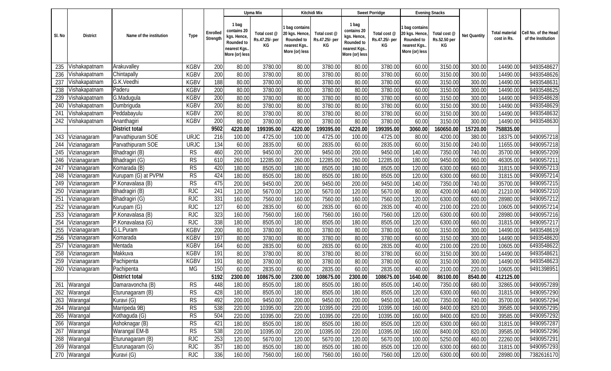|        |                 |                         |                        |                      |                                                                                     | Upma Mix                             |                                                                                  | Kitchidi Mix                         |                                                                                    | Sweet Porridge                       |                                                                                  | <b>Evening Snacks</b>              |              |                                      |                                            |
|--------|-----------------|-------------------------|------------------------|----------------------|-------------------------------------------------------------------------------------|--------------------------------------|----------------------------------------------------------------------------------|--------------------------------------|------------------------------------------------------------------------------------|--------------------------------------|----------------------------------------------------------------------------------|------------------------------------|--------------|--------------------------------------|--------------------------------------------|
| SI. No | <b>District</b> | Name of the institution | Type                   | Enrolled<br>Strength | 1 bag<br>contains 20<br>kgs. Hence,<br>Rounded to<br>nearest Kgs.<br>More (or) less | Total cost @<br>Rs.47.25/- per<br>КG | 1 bag contains<br>20 kgs. Hence,<br>Rounded to<br>nearest Kgs.<br>More (or) less | Total cost @<br>Rs.47.25/- per<br>КG | 1 bag<br>contains 20<br>kgs. Hence<br>Rounded to<br>nearest Kgs.<br>More (or) less | Total cost @<br>Rs.47.25/- per<br>КG | I bag contains<br>20 kgs. Hence,<br>Rounded to<br>nearest Kgs.<br>More (or) less | Total cost @<br>Rs.52.50 per<br>KG | Net Quantity | <b>Total material</b><br>cost in Rs. | Cell No. of the Head<br>of the Institution |
| 235    | Vishakapatnam   | Arakuvalley             | <b>KGBV</b>            | 200                  | 80.00                                                                               | 3780.00                              | 80.00                                                                            | 3780.00                              | 80.00                                                                              | 3780.00                              | 60.00                                                                            | 3150.00                            | 300.00       | 14490.00                             | 9493548627                                 |
| 236    | Vishakapatnam   | Chintapally             | <b>KGBV</b>            | 200                  | 80.00                                                                               | 3780.00                              | 80.00                                                                            | 3780.00                              | 80.00                                                                              | 3780.00                              | 60.00                                                                            | 3150.00                            | 300.00       | 14490.00                             | 9493548626                                 |
| 237    | Vishakapatnam   | G.K.Veedhi              | <b>KGBV</b>            | 188                  | 80.00                                                                               | 3780.00                              | 80.00                                                                            | 3780.00                              | 80.00                                                                              | 3780.00                              | 60.00                                                                            | 3150.00                            | 300.00       | 14490.00                             | 9493548631                                 |
| 238    | Vishakapatnam   | Paderu                  | <b>KGBV</b>            | 200                  | 80.00                                                                               | 3780.00                              | 80.00                                                                            | 3780.00                              | 80.00                                                                              | 3780.00                              | 60.00                                                                            | 3150.00                            | 300.00       | 14490.00                             | 9493548625                                 |
| 239    | Vishakapatnam   | G.Madugula              | <b>KGBV</b>            | 200                  | 80.00                                                                               | 3780.00                              | 80.00                                                                            | 3780.00                              | 80.00                                                                              | 3780.00                              | 60.00                                                                            | 3150.00                            | 300.00       | 14490.00                             | 9493548628                                 |
| 240    | Vishakapatnam   | Dumbriguda              | <b>KGBV</b>            | 200                  | 80.00                                                                               | 3780.00                              | 80.00                                                                            | 3780.00                              | 80.00                                                                              | 3780.00                              | 60.00                                                                            | 3150.00                            | 300.00       | 14490.00                             | 9493548629                                 |
| 241    | Vishakapatnam   | Peddabayulu             | <b>KGBV</b>            | 200                  | 80.00                                                                               | 3780.00                              | 80.00                                                                            | 3780.00                              | 80.00                                                                              | 3780.00                              | 60.00                                                                            | 3150.00                            | 300.00       | 14490.00                             | 9493548632                                 |
| 242    | Vishakapatnam   | Ananthagiri             | <b>KGBV</b>            | 200                  | 80.00                                                                               | 3780.00                              | 80.00                                                                            | 3780.00                              | 80.00                                                                              | 3780.00                              | 60.00                                                                            | 3150.00                            | 300.00       | 14490.00                             | 9493548630                                 |
|        |                 | <b>District total</b>   |                        | 9502                 | 4220.00                                                                             | 199395.00                            | 4220.00                                                                          | 199395.00                            | 4220.00                                                                            | 199395.00                            | 3060.00                                                                          | 160650.00                          | 15720.00     | 758835.00                            |                                            |
| 243    | Vizianagaram    | Parvathipuram SOE       | <b>URJC</b>            | 216                  | 100.00                                                                              | 4725.00                              | 100.00                                                                           | 4725.00                              | 100.00                                                                             | 4725.00                              | 80.00                                                                            | 4200.00                            | 380.00       | 18375.00                             | 9490957218                                 |
| 244    | Vizianagaram    | Parvathipuram SOE       | <b>URJC</b>            | 134                  | 60.00                                                                               | 2835.00                              | 60.00                                                                            | 2835.00                              | 60.00                                                                              | 2835.00                              | 60.00                                                                            | 3150.00                            | 240.00       | 11655.00                             | 9490957218                                 |
| 245    | Vizianagaram    | Bhadragiri (B)          | <b>RS</b>              | 460                  | 200.00                                                                              | 9450.00                              | 200.00                                                                           | 9450.00                              | 200.00                                                                             | 9450.00                              | 140.00                                                                           | 7350.00                            | 740.00       | 35700.00                             | 9490957209                                 |
| 246    | Vizianagaram    | Bhadragiri (G)          | <b>RS</b>              | 610                  | 260.00                                                                              | 12285.00                             | 260.00                                                                           | 12285.00                             | 260.00                                                                             | 12285.00                             | 180.00                                                                           | 9450.00                            | 960.00       | 46305.00                             | 9490957211                                 |
| 247    | Vizianagaram    | Komarada (B)            | $\overline{\text{RS}}$ | 420                  | 180.00                                                                              | 8505.00                              | 180.00                                                                           | 8505.00                              | 180.00                                                                             | 8505.00                              | 120.00                                                                           | 6300.00                            | 660.00       | 31815.00                             | 9490957213                                 |
| 248    | Vizianagaram    | Kurupam (G) at PVPM     | RS                     | 424                  | 180.00                                                                              | 8505.00                              | 180.00                                                                           | 8505.00                              | 180.00                                                                             | 8505.00                              | 120.00                                                                           | 6300.00                            | 660.00       | 31815.00                             | 9490957214                                 |
| 249    | Vizianagaram    | P.Konavalasa (B)        | <b>RS</b>              | 475                  | 200.00                                                                              | 9450.00                              | 200.00                                                                           | 9450.00                              | 200.00                                                                             | 9450.00                              | 140.00                                                                           | 7350.00                            | 740.00       | 35700.00                             | 9490957215                                 |
| 250    | Vizianagaram    | Bhadragiri (B)          | <b>RJC</b>             | 241                  | 120.00                                                                              | 5670.00                              | 120.00                                                                           | 5670.00                              | 120.00                                                                             | 5670.00                              | 80.00                                                                            | 4200.00                            | 440.00       | 21210.00                             | 9490957210                                 |
| 251    | Vizianagaram    | Bhadragiri (G)          | RJC                    | 331                  | 160.00                                                                              | 7560.00                              | 160.00                                                                           | 7560.00                              | 160.00                                                                             | 7560.00                              | 120.00                                                                           | 6300.00                            | 600.00       | 28980.00                             | 9490957212                                 |
| 252    | Vizianagaram    | Kurupam (G)             | <b>RJC</b>             | 127                  | 60.00                                                                               | 2835.00                              | 60.00                                                                            | 2835.00                              | 60.00                                                                              | 2835.00                              | 40.00                                                                            | 2100.00                            | 220.00       | 10605.00                             | 9490957214                                 |
| 253    | Vizianagaram    | P.Konavalasa (B)        | <b>RJC</b>             | 323                  | 160.00                                                                              | 7560.00                              | 160.00                                                                           | 7560.00                              | 160.00                                                                             | 7560.00                              | 120.00                                                                           | 6300.00                            | 600.00       | 28980.00                             | 9490957216                                 |
| 254    | Vizianagaram    | P.Konavalasa (G)        | <b>RJC</b>             | 338                  | 180.00                                                                              | 8505.00                              | 180.00                                                                           | 8505.00                              | 180.00                                                                             | 8505.00                              | 120.00                                                                           | 6300.00                            | 660.00       | 31815.00                             | 9490957217                                 |
| 255    | Vizianagaram    | G.L.Puram               | <b>KGBV</b>            | 200                  | 80.00                                                                               | 3780.00                              | 80.00                                                                            | 3780.00                              | 80.00                                                                              | 3780.00                              | 60.00                                                                            | 3150.00                            | 300.00       | 14490.00                             | 9493548619                                 |
| 256    | Vizianagaram    | Komarada                | <b>KGBV</b>            | 197                  | 80.00                                                                               | 3780.00                              | 80.00                                                                            | 3780.00                              | 80.00                                                                              | 3780.00                              | 60.00                                                                            | 3150.00                            | 300.00       | 14490.00                             | 9493548620                                 |
| 257    | Vizianagaram    | Mentada                 | <b>KGBV</b>            | 164                  | 60.00                                                                               | 2835.00                              | 60.00                                                                            | 2835.00                              | 60.00                                                                              | 2835.00                              | 40.00                                                                            | 2100.00                            | 220.00       | 10605.00                             | 6493548622                                 |
| 258    | Vizianagaram    | Makkuva                 | <b>KGBV</b>            | 191                  | 80.00                                                                               | 3780.00                              | 80.00                                                                            | 3780.00                              | 80.00                                                                              | 3780.00                              | 60.00                                                                            | 3150.00                            | 300.00       | 14490.00                             | 9493548621                                 |
| 259    | Vizianagaram    | Pachipenta              | <b>KGBV</b>            | 191                  | 80.00                                                                               | 3780.00                              | 80.00                                                                            | 3780.00                              | 80.00                                                                              | 3780.00                              | 60.00                                                                            | 3150.00                            | 300.00       | 14490.00                             | 9493548623                                 |
| 260    | Vizianagaram    | Pachipenta              | MG                     | 150                  | 60.00                                                                               | 2835.00                              | 60.00                                                                            | 2835.00                              | 60.00                                                                              | 2835.00                              | 40.00                                                                            | 2100.00                            | 220.00       | 10605.00                             | 9491398951                                 |
|        |                 | <b>District total</b>   |                        | 5192                 | 2300.00                                                                             | 108675.00                            | 2300.00                                                                          | 108675.00                            | 2300.00                                                                            | 108675.00                            | 1640.00                                                                          | 86100.00                           | 8540.00      | 412125.00                            |                                            |
|        | 261 Warangal    | Damaravoncha (B)        | <b>RS</b>              | 448                  | 180.00                                                                              | 8505.00                              | 180.00                                                                           | 8505.00                              | 180.00                                                                             | 8505.00                              | 140.00                                                                           | 7350.00                            | 680.00       | 32865.00                             | 9490957289                                 |
| 262    | Warangal        | Eturunagaram (B)        | RS                     | 428                  | 180.00                                                                              | 8505.00                              | 180.00                                                                           | 8505.00                              | 180.00                                                                             | 8505.00                              | 120.00                                                                           | 6300.00                            | 660.00       | 31815.00                             | 9490957290                                 |
| 263    | Warangal        | Kuravi (G)              | RS                     | 492                  | 200.00                                                                              | 9450.00                              | 200.00                                                                           | 9450.00                              | 200.00                                                                             | 9450.00                              | 140.00                                                                           | 7350.00                            | 740.00       | 35700.00                             | 9490957294                                 |
| 264    | Warangal        | Marripeda 9B)           | RS                     | 538                  | 220.00                                                                              | 10395.00                             | 220.00                                                                           | 10395.00                             | 220.00                                                                             | 10395.00                             | 160.00                                                                           | 8400.00                            | 820.00       | 39585.00                             | 9490957295                                 |
| 265    | Warangal        | Kothaguda (G)           | RS                     | 504                  | 220.00                                                                              | 10395.00                             | 220.00                                                                           | 10395.00                             | 220.00                                                                             | 10395.00                             | 160.00                                                                           | 8400.00                            | 820.00       | 39585.00                             | 9490957292                                 |
| 266    | Warangal        | Ashoknagar (B)          | <b>RS</b>              | 421                  | 180.00                                                                              | 8505.00                              | 180.00                                                                           | 8505.00                              | 180.00                                                                             | 8505.00                              | 120.00                                                                           | 6300.00                            | 660.00       | 31815.00                             | 9490957287                                 |
| 267    | Warangal        | Warangal EM-B           | RS                     | 538                  | 220.00                                                                              | 10395.00                             | 220.00                                                                           | 10395.00                             | 220.00                                                                             | 10395.00                             | 160.00                                                                           | 8400.00                            | 820.00       | 39585.00                             | 9490957296                                 |
|        | 268 Warangal    | Eturunagaram (B)        | RJC                    | 253                  | 120.00                                                                              | 5670.00                              | 120.00                                                                           | 5670.00                              | 120.00                                                                             | 5670.00                              | 100.00                                                                           | 5250.00                            | 460.00       | 22260.00                             | 9490957291                                 |
| 269    | Warangal        | Eturunagaram (G)        | <b>RJC</b>             | 357                  | 180.00                                                                              | 8505.00                              | 180.00                                                                           | 8505.00                              | 180.00                                                                             | 8505.00                              | 120.00                                                                           | 6300.00                            | 660.00       | 31815.00                             | 9490957293                                 |
|        | 270 Warangal    | Kuravi (G)              | <b>RJC</b>             | 336                  | 160.00                                                                              | 7560.00                              | 160.00                                                                           | 7560.00                              | 160.00                                                                             | 7560.00                              | 120.00                                                                           | 6300.00                            | 600.00       | 28980.00                             | 7382616170                                 |